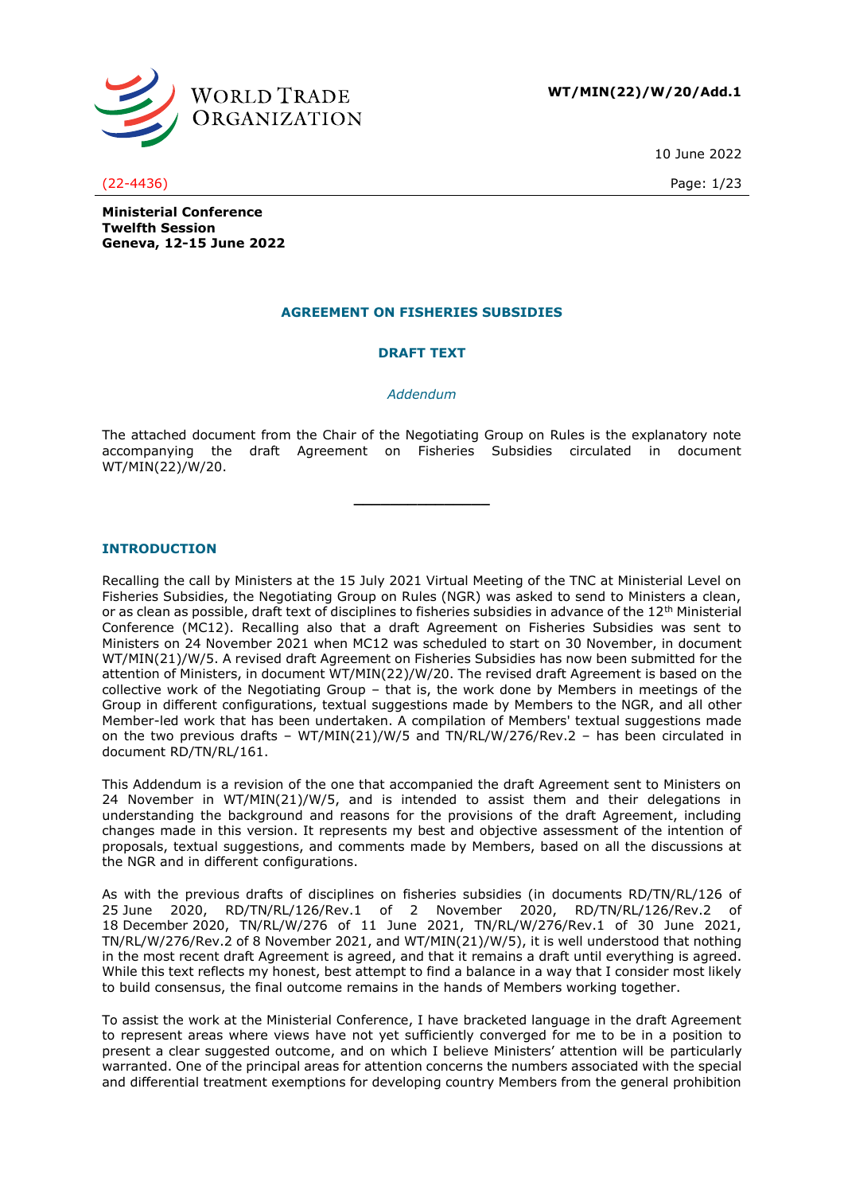

**WT/MIN(22)/W/20/Add.1**

10 June 2022

#### (22-4436) Page: 1/23

**Ministerial Conference Twelfth Session Geneva, 12-15 June 2022**

# **AGREEMENT ON FISHERIES SUBSIDIES**

# **DRAFT TEXT**

#### *Addendum*

The attached document from the Chair of the Negotiating Group on Rules is the explanatory note accompanying the draft Agreement on Fisheries Subsidies circulated in document WT/MIN(22)/W/20.

**\_\_\_\_\_\_\_\_\_\_\_\_\_\_\_**

# **INTRODUCTION**

Recalling the call by Ministers at the 15 July 2021 Virtual Meeting of the TNC at Ministerial Level on Fisheries Subsidies, the Negotiating Group on Rules (NGR) was asked to send to Ministers a clean, or as clean as possible, draft text of disciplines to fisheries subsidies in advance of the 12<sup>th</sup> Ministerial Conference (MC12). Recalling also that a draft Agreement on Fisheries Subsidies was sent to Ministers on 24 November 2021 when MC12 was scheduled to start on 30 November, in document WT/MIN(21)/W/5. A revised draft Agreement on Fisheries Subsidies has now been submitted for the attention of Ministers, in document WT/MIN(22)/W/20. The revised draft Agreement is based on the collective work of the Negotiating Group – that is, the work done by Members in meetings of the Group in different configurations, textual suggestions made by Members to the NGR, and all other Member-led work that has been undertaken. A compilation of Members' textual suggestions made on the two previous drafts – WT/MIN(21)/W/5 and TN/RL/W/276/Rev.2 – has been circulated in document RD/TN/RL/161.

This Addendum is a revision of the one that accompanied the draft Agreement sent to Ministers on 24 November in WT/MIN(21)/W/5, and is intended to assist them and their delegations in understanding the background and reasons for the provisions of the draft Agreement, including changes made in this version. It represents my best and objective assessment of the intention of proposals, textual suggestions, and comments made by Members, based on all the discussions at the NGR and in different configurations.

As with the previous drafts of disciplines on fisheries subsidies (in documents RD/TN/RL/126 of 25 June 2020, RD/TN/RL/126/Rev.1 of 2 November 2020, RD/TN/RL/126/Rev.2 of 18 December 2020, TN/RL/W/276 of 11 June 2021, TN/RL/W/276/Rev.1 of 30 June 2021, TN/RL/W/276/Rev.2 of 8 November 2021, and WT/MIN(21)/W/5), it is well understood that nothing in the most recent draft Agreement is agreed, and that it remains a draft until everything is agreed. While this text reflects my honest, best attempt to find a balance in a way that I consider most likely to build consensus, the final outcome remains in the hands of Members working together.

To assist the work at the Ministerial Conference, I have bracketed language in the draft Agreement to represent areas where views have not yet sufficiently converged for me to be in a position to present a clear suggested outcome, and on which I believe Ministers' attention will be particularly warranted. One of the principal areas for attention concerns the numbers associated with the special and differential treatment exemptions for developing country Members from the general prohibition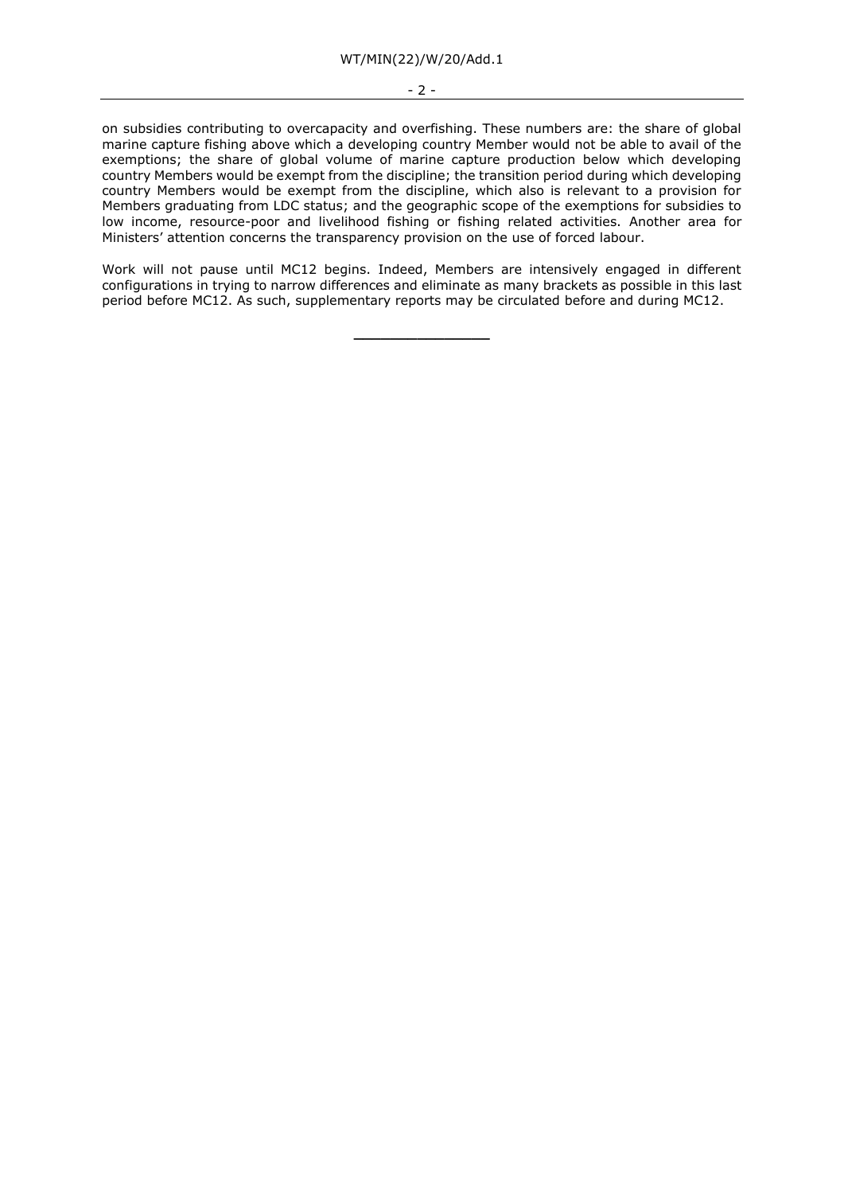- 2 -

on subsidies contributing to overcapacity and overfishing. These numbers are: the share of global marine capture fishing above which a developing country Member would not be able to avail of the exemptions; the share of global volume of marine capture production below which developing country Members would be exempt from the discipline; the transition period during which developing country Members would be exempt from the discipline, which also is relevant to a provision for Members graduating from LDC status; and the geographic scope of the exemptions for subsidies to low income, resource-poor and livelihood fishing or fishing related activities. Another area for Ministers' attention concerns the transparency provision on the use of forced labour.

Work will not pause until MC12 begins. Indeed, Members are intensively engaged in different configurations in trying to narrow differences and eliminate as many brackets as possible in this last period before MC12. As such, supplementary reports may be circulated before and during MC12.

**\_\_\_\_\_\_\_\_\_\_\_\_\_\_\_**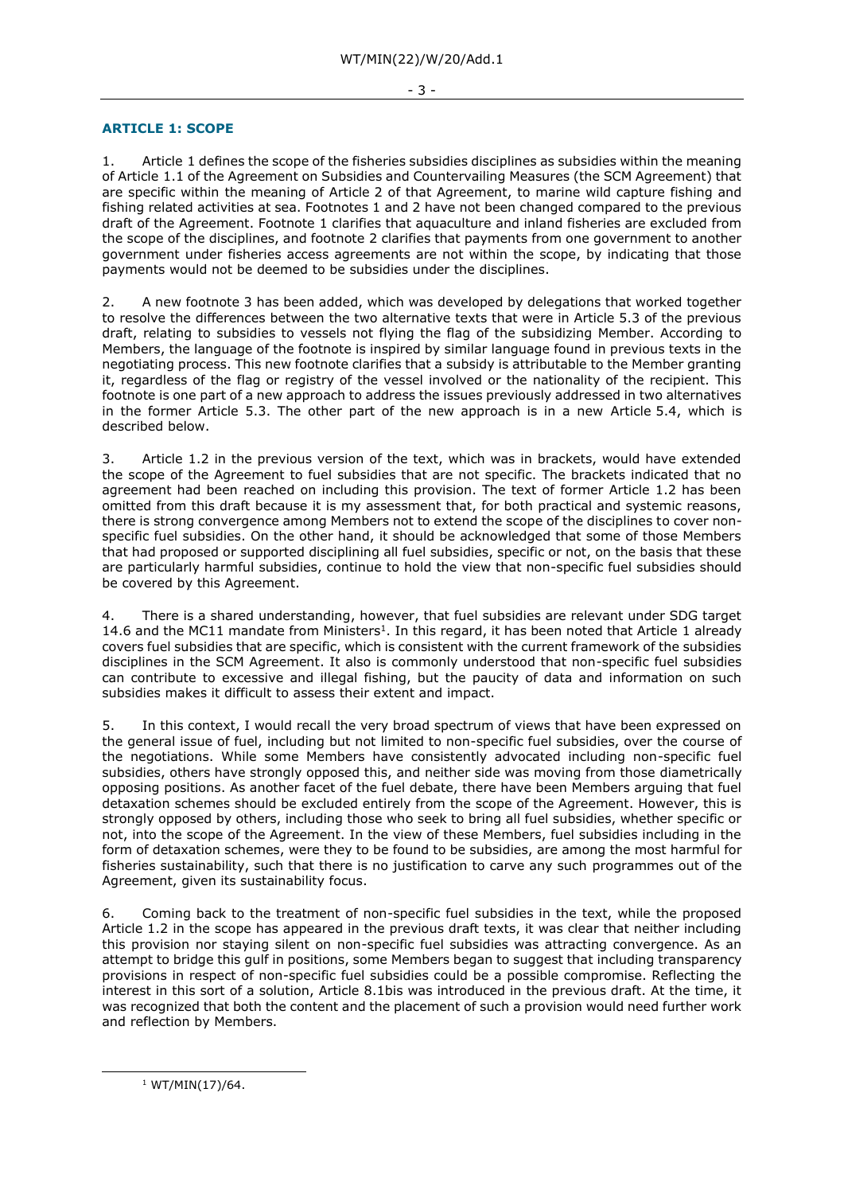# **ARTICLE 1: SCOPE**

1. Article 1 defines the scope of the fisheries subsidies disciplines as subsidies within the meaning of Article 1.1 of the Agreement on Subsidies and Countervailing Measures (the SCM Agreement) that are specific within the meaning of Article 2 of that Agreement, to marine wild capture fishing and fishing related activities at sea. Footnotes 1 and 2 have not been changed compared to the previous draft of the Agreement. Footnote 1 clarifies that aquaculture and inland fisheries are excluded from the scope of the disciplines, and footnote 2 clarifies that payments from one government to another government under fisheries access agreements are not within the scope, by indicating that those payments would not be deemed to be subsidies under the disciplines.

2. A new footnote 3 has been added, which was developed by delegations that worked together to resolve the differences between the two alternative texts that were in Article 5.3 of the previous draft, relating to subsidies to vessels not flying the flag of the subsidizing Member. According to Members, the language of the footnote is inspired by similar language found in previous texts in the negotiating process. This new footnote clarifies that a subsidy is attributable to the Member granting it, regardless of the flag or registry of the vessel involved or the nationality of the recipient. This footnote is one part of a new approach to address the issues previously addressed in two alternatives in the former Article 5.3. The other part of the new approach is in a new Article 5.4, which is described below.

3. Article 1.2 in the previous version of the text, which was in brackets, would have extended the scope of the Agreement to fuel subsidies that are not specific. The brackets indicated that no agreement had been reached on including this provision. The text of former Article 1.2 has been omitted from this draft because it is my assessment that, for both practical and systemic reasons, there is strong convergence among Members not to extend the scope of the disciplines to cover nonspecific fuel subsidies. On the other hand, it should be acknowledged that some of those Members that had proposed or supported disciplining all fuel subsidies, specific or not, on the basis that these are particularly harmful subsidies, continue to hold the view that non-specific fuel subsidies should be covered by this Agreement.

4. There is a shared understanding, however, that fuel subsidies are relevant under SDG target 14.6 and the MC11 mandate from Ministers<sup>1</sup>. In this regard, it has been noted that Article 1 already covers fuel subsidies that are specific, which is consistent with the current framework of the subsidies disciplines in the SCM Agreement. It also is commonly understood that non-specific fuel subsidies can contribute to excessive and illegal fishing, but the paucity of data and information on such subsidies makes it difficult to assess their extent and impact.

5. In this context, I would recall the very broad spectrum of views that have been expressed on the general issue of fuel, including but not limited to non-specific fuel subsidies, over the course of the negotiations. While some Members have consistently advocated including non-specific fuel subsidies, others have strongly opposed this, and neither side was moving from those diametrically opposing positions. As another facet of the fuel debate, there have been Members arguing that fuel detaxation schemes should be excluded entirely from the scope of the Agreement. However, this is strongly opposed by others, including those who seek to bring all fuel subsidies, whether specific or not, into the scope of the Agreement. In the view of these Members, fuel subsidies including in the form of detaxation schemes, were they to be found to be subsidies, are among the most harmful for fisheries sustainability, such that there is no justification to carve any such programmes out of the Agreement, given its sustainability focus.

6. Coming back to the treatment of non-specific fuel subsidies in the text, while the proposed Article 1.2 in the scope has appeared in the previous draft texts, it was clear that neither including this provision nor staying silent on non-specific fuel subsidies was attracting convergence. As an attempt to bridge this gulf in positions, some Members began to suggest that including transparency provisions in respect of non-specific fuel subsidies could be a possible compromise. Reflecting the interest in this sort of a solution, Article 8.1bis was introduced in the previous draft. At the time, it was recognized that both the content and the placement of such a provision would need further work and reflection by Members.

 $1$  WT/MIN(17)/64.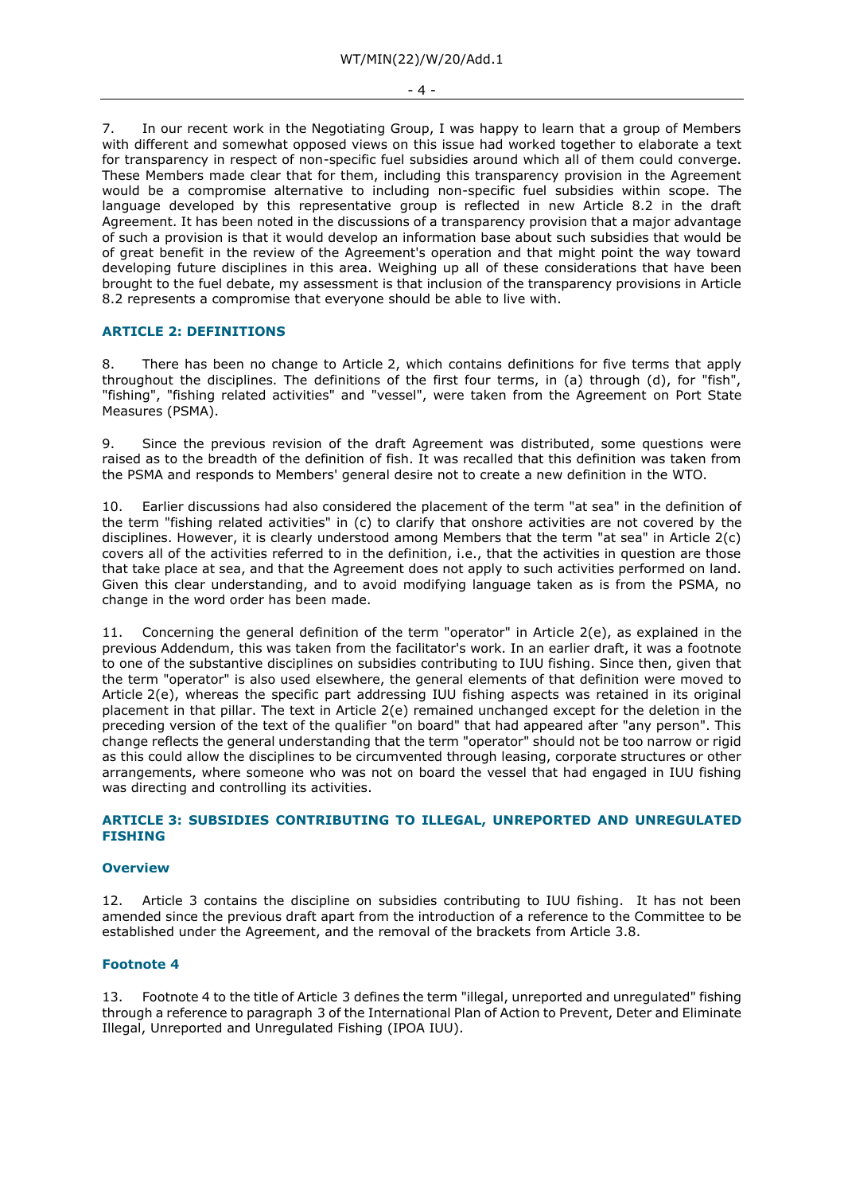7. In our recent work in the Negotiating Group, I was happy to learn that a group of Members with different and somewhat opposed views on this issue had worked together to elaborate a text for transparency in respect of non-specific fuel subsidies around which all of them could converge. These Members made clear that for them, including this transparency provision in the Agreement would be a compromise alternative to including non-specific fuel subsidies within scope. The language developed by this representative group is reflected in new Article 8.2 in the draft Agreement. It has been noted in the discussions of a transparency provision that a major advantage of such a provision is that it would develop an information base about such subsidies that would be of great benefit in the review of the Agreement's operation and that might point the way toward developing future disciplines in this area. Weighing up all of these considerations that have been brought to the fuel debate, my assessment is that inclusion of the transparency provisions in Article 8.2 represents a compromise that everyone should be able to live with.

### **ARTICLE 2: DEFINITIONS**

8. There has been no change to Article 2, which contains definitions for five terms that apply throughout the disciplines. The definitions of the first four terms, in (a) through (d), for "fish", "fishing", "fishing related activities" and "vessel", were taken from the Agreement on Port State Measures (PSMA).

9. Since the previous revision of the draft Agreement was distributed, some questions were raised as to the breadth of the definition of fish. It was recalled that this definition was taken from the PSMA and responds to Members' general desire not to create a new definition in the WTO.

10. Earlier discussions had also considered the placement of the term "at sea" in the definition of the term "fishing related activities" in (c) to clarify that onshore activities are not covered by the disciplines. However, it is clearly understood among Members that the term "at sea" in Article 2(c) covers all of the activities referred to in the definition, i.e., that the activities in question are those that take place at sea, and that the Agreement does not apply to such activities performed on land. Given this clear understanding, and to avoid modifying language taken as is from the PSMA, no change in the word order has been made.

11. Concerning the general definition of the term "operator" in Article 2(e), as explained in the previous Addendum, this was taken from the facilitator's work. In an earlier draft, it was a footnote to one of the substantive disciplines on subsidies contributing to IUU fishing. Since then, given that the term "operator" is also used elsewhere, the general elements of that definition were moved to Article 2(e), whereas the specific part addressing IUU fishing aspects was retained in its original placement in that pillar. The text in Article 2(e) remained unchanged except for the deletion in the preceding version of the text of the qualifier "on board" that had appeared after "any person". This change reflects the general understanding that the term "operator" should not be too narrow or rigid as this could allow the disciplines to be circumvented through leasing, corporate structures or other arrangements, where someone who was not on board the vessel that had engaged in IUU fishing was directing and controlling its activities.

# **ARTICLE 3: SUBSIDIES CONTRIBUTING TO ILLEGAL, UNREPORTED AND UNREGULATED FISHING**

#### **Overview**

12. Article 3 contains the discipline on subsidies contributing to IUU fishing. It has not been amended since the previous draft apart from the introduction of a reference to the Committee to be established under the Agreement, and the removal of the brackets from Article 3.8.

#### **Footnote 4**

13. Footnote 4 to the title of Article 3 defines the term "illegal, unreported and unregulated" fishing through a reference to paragraph 3 of the International Plan of Action to Prevent, Deter and Eliminate Illegal, Unreported and Unregulated Fishing (IPOA IUU).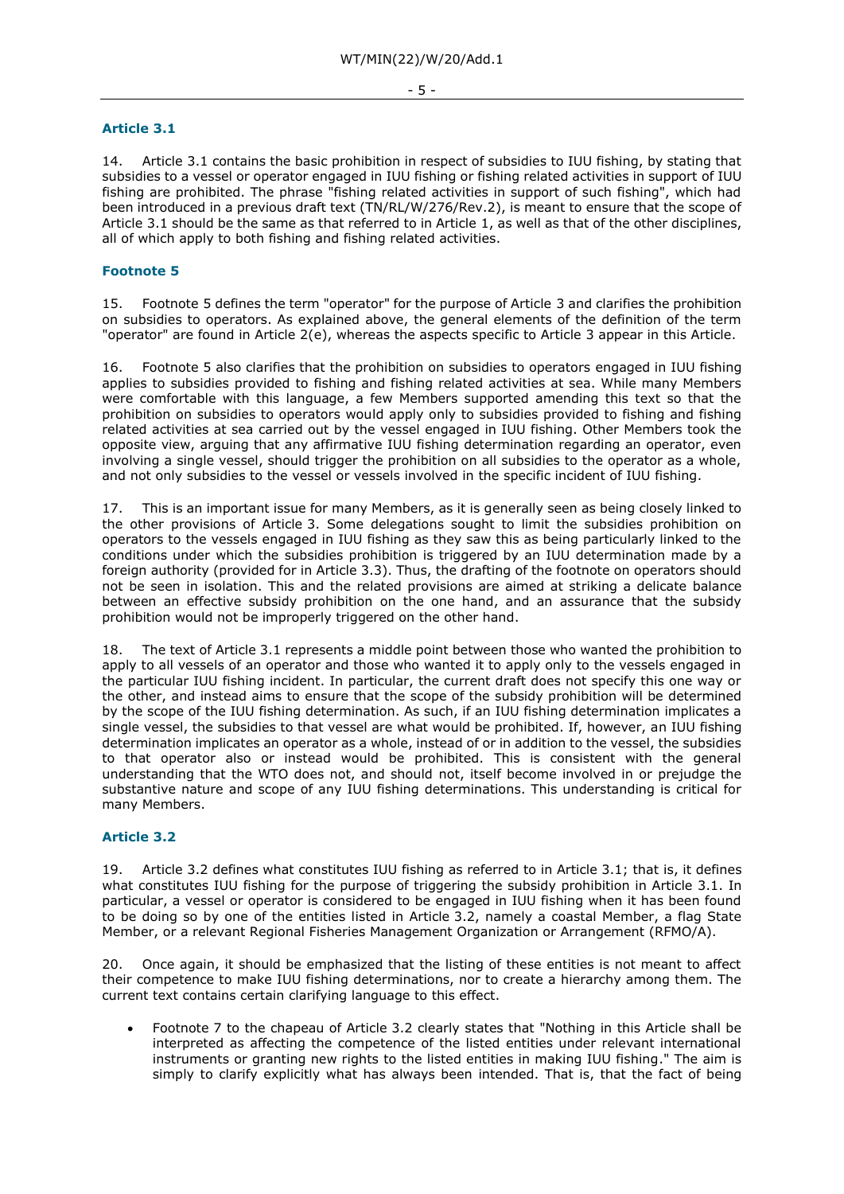#### **Article 3.1**

14. Article 3.1 contains the basic prohibition in respect of subsidies to IUU fishing, by stating that subsidies to a vessel or operator engaged in IUU fishing or fishing related activities in support of IUU fishing are prohibited. The phrase "fishing related activities in support of such fishing", which had been introduced in a previous draft text (TN/RL/W/276/Rev.2), is meant to ensure that the scope of Article 3.1 should be the same as that referred to in Article 1, as well as that of the other disciplines, all of which apply to both fishing and fishing related activities.

# **Footnote 5**

15. Footnote 5 defines the term "operator" for the purpose of Article 3 and clarifies the prohibition on subsidies to operators. As explained above, the general elements of the definition of the term "operator" are found in Article 2(e), whereas the aspects specific to Article 3 appear in this Article.

16. Footnote 5 also clarifies that the prohibition on subsidies to operators engaged in IUU fishing applies to subsidies provided to fishing and fishing related activities at sea. While many Members were comfortable with this language, a few Members supported amending this text so that the prohibition on subsidies to operators would apply only to subsidies provided to fishing and fishing related activities at sea carried out by the vessel engaged in IUU fishing. Other Members took the opposite view, arguing that any affirmative IUU fishing determination regarding an operator, even involving a single vessel, should trigger the prohibition on all subsidies to the operator as a whole, and not only subsidies to the vessel or vessels involved in the specific incident of IUU fishing.

17. This is an important issue for many Members, as it is generally seen as being closely linked to the other provisions of Article 3. Some delegations sought to limit the subsidies prohibition on operators to the vessels engaged in IUU fishing as they saw this as being particularly linked to the conditions under which the subsidies prohibition is triggered by an IUU determination made by a foreign authority (provided for in Article 3.3). Thus, the drafting of the footnote on operators should not be seen in isolation. This and the related provisions are aimed at striking a delicate balance between an effective subsidy prohibition on the one hand, and an assurance that the subsidy prohibition would not be improperly triggered on the other hand.

18. The text of Article 3.1 represents a middle point between those who wanted the prohibition to apply to all vessels of an operator and those who wanted it to apply only to the vessels engaged in the particular IUU fishing incident. In particular, the current draft does not specify this one way or the other, and instead aims to ensure that the scope of the subsidy prohibition will be determined by the scope of the IUU fishing determination. As such, if an IUU fishing determination implicates a single vessel, the subsidies to that vessel are what would be prohibited. If, however, an IUU fishing determination implicates an operator as a whole, instead of or in addition to the vessel, the subsidies to that operator also or instead would be prohibited. This is consistent with the general understanding that the WTO does not, and should not, itself become involved in or prejudge the substantive nature and scope of any IUU fishing determinations. This understanding is critical for many Members.

# **Article 3.2**

19. Article 3.2 defines what constitutes IUU fishing as referred to in Article 3.1; that is, it defines what constitutes IUU fishing for the purpose of triggering the subsidy prohibition in Article 3.1. In particular, a vessel or operator is considered to be engaged in IUU fishing when it has been found to be doing so by one of the entities listed in Article 3.2, namely a coastal Member, a flag State Member, or a relevant Regional Fisheries Management Organization or Arrangement (RFMO/A).

20. Once again, it should be emphasized that the listing of these entities is not meant to affect their competence to make IUU fishing determinations, nor to create a hierarchy among them. The current text contains certain clarifying language to this effect.

• Footnote 7 to the chapeau of Article 3.2 clearly states that "Nothing in this Article shall be interpreted as affecting the competence of the listed entities under relevant international instruments or granting new rights to the listed entities in making IUU fishing." The aim is simply to clarify explicitly what has always been intended. That is, that the fact of being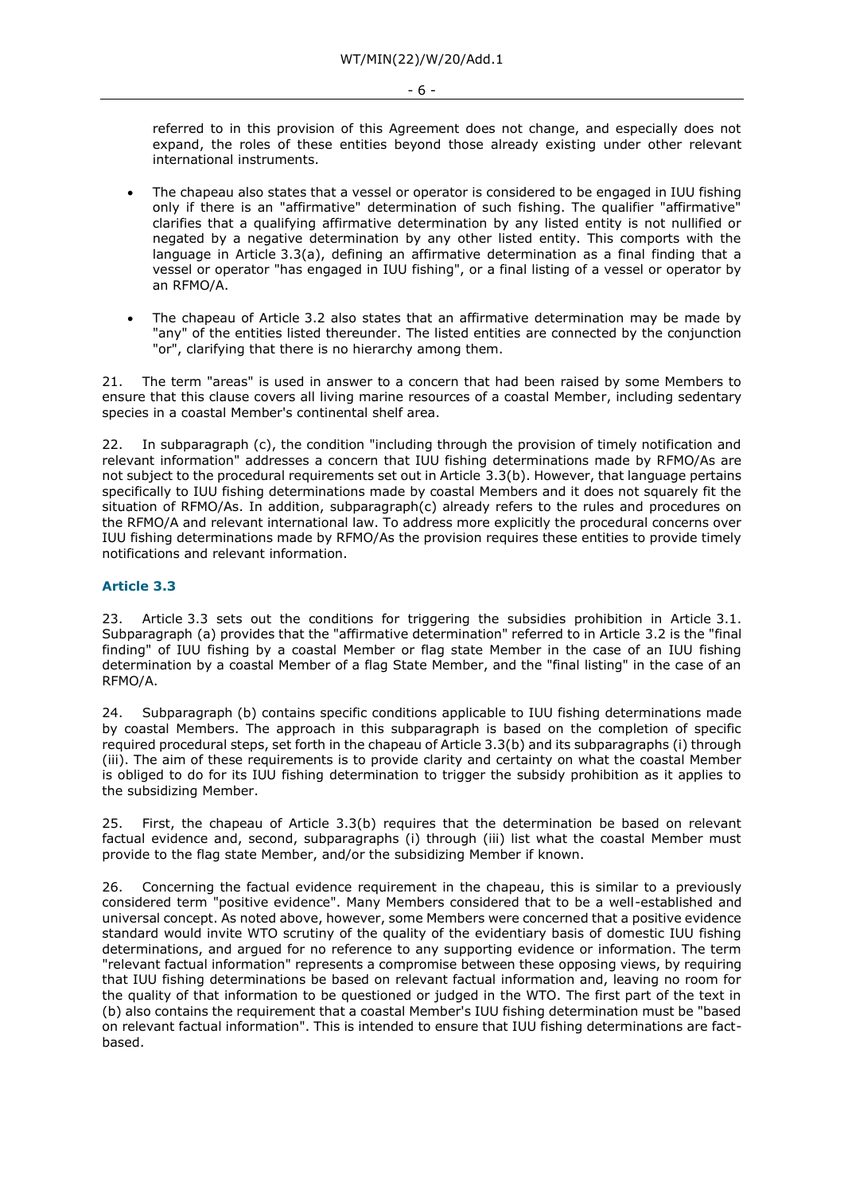referred to in this provision of this Agreement does not change, and especially does not expand, the roles of these entities beyond those already existing under other relevant international instruments.

- The chapeau also states that a vessel or operator is considered to be engaged in IUU fishing only if there is an "affirmative" determination of such fishing. The qualifier "affirmative" clarifies that a qualifying affirmative determination by any listed entity is not nullified or negated by a negative determination by any other listed entity. This comports with the language in Article 3.3(a), defining an affirmative determination as a final finding that a vessel or operator "has engaged in IUU fishing", or a final listing of a vessel or operator by an RFMO/A.
- The chapeau of Article 3.2 also states that an affirmative determination may be made by "any" of the entities listed thereunder. The listed entities are connected by the conjunction "or", clarifying that there is no hierarchy among them.

21. The term "areas" is used in answer to a concern that had been raised by some Members to ensure that this clause covers all living marine resources of a coastal Member, including sedentary species in a coastal Member's continental shelf area.

22. In subparagraph (c), the condition "including through the provision of timely notification and relevant information" addresses a concern that IUU fishing determinations made by RFMO/As are not subject to the procedural requirements set out in Article 3.3(b). However, that language pertains specifically to IUU fishing determinations made by coastal Members and it does not squarely fit the situation of RFMO/As. In addition, subparagraph(c) already refers to the rules and procedures on the RFMO/A and relevant international law. To address more explicitly the procedural concerns over IUU fishing determinations made by RFMO/As the provision requires these entities to provide timely notifications and relevant information.

# **Article 3.3**

23. Article 3.3 sets out the conditions for triggering the subsidies prohibition in Article 3.1. Subparagraph (a) provides that the "affirmative determination" referred to in Article 3.2 is the "final finding" of IUU fishing by a coastal Member or flag state Member in the case of an IUU fishing determination by a coastal Member of a flag State Member, and the "final listing" in the case of an RFMO/A.

24. Subparagraph (b) contains specific conditions applicable to IUU fishing determinations made by coastal Members. The approach in this subparagraph is based on the completion of specific required procedural steps, set forth in the chapeau of Article 3.3(b) and its subparagraphs (i) through (iii). The aim of these requirements is to provide clarity and certainty on what the coastal Member is obliged to do for its IUU fishing determination to trigger the subsidy prohibition as it applies to the subsidizing Member.

25. First, the chapeau of Article 3.3(b) requires that the determination be based on relevant factual evidence and, second, subparagraphs (i) through (iii) list what the coastal Member must provide to the flag state Member, and/or the subsidizing Member if known.

26. Concerning the factual evidence requirement in the chapeau, this is similar to a previously considered term "positive evidence". Many Members considered that to be a well-established and universal concept. As noted above, however, some Members were concerned that a positive evidence standard would invite WTO scrutiny of the quality of the evidentiary basis of domestic IUU fishing determinations, and argued for no reference to any supporting evidence or information. The term "relevant factual information" represents a compromise between these opposing views, by requiring that IUU fishing determinations be based on relevant factual information and, leaving no room for the quality of that information to be questioned or judged in the WTO. The first part of the text in (b) also contains the requirement that a coastal Member's IUU fishing determination must be "based on relevant factual information". This is intended to ensure that IUU fishing determinations are factbased.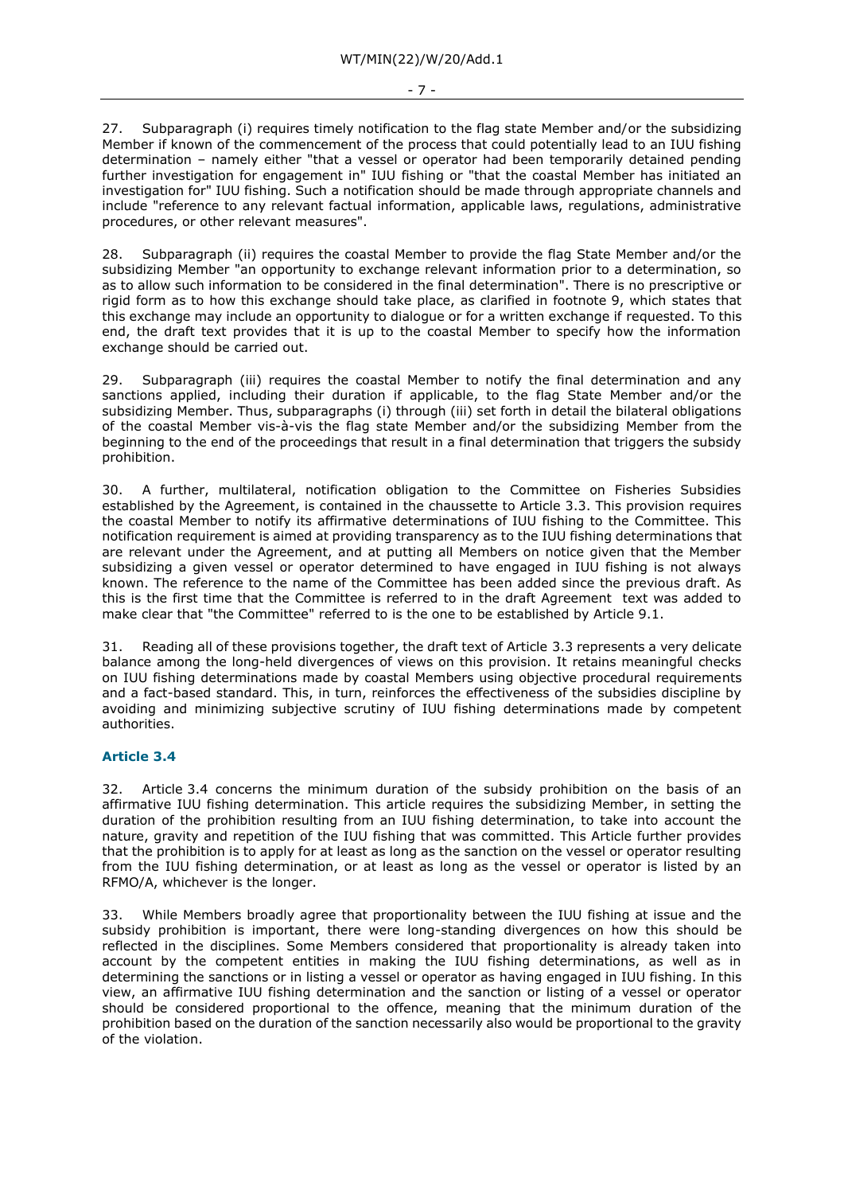27. Subparagraph (i) requires timely notification to the flag state Member and/or the subsidizing

Member if known of the commencement of the process that could potentially lead to an IUU fishing determination – namely either "that a vessel or operator had been temporarily detained pending further investigation for engagement in" IUU fishing or "that the coastal Member has initiated an investigation for" IUU fishing. Such a notification should be made through appropriate channels and include "reference to any relevant factual information, applicable laws, regulations, administrative procedures, or other relevant measures".

Subparagraph (ii) requires the coastal Member to provide the flag State Member and/or the subsidizing Member "an opportunity to exchange relevant information prior to a determination, so as to allow such information to be considered in the final determination". There is no prescriptive or rigid form as to how this exchange should take place, as clarified in footnote 9, which states that this exchange may include an opportunity to dialogue or for a written exchange if requested. To this end, the draft text provides that it is up to the coastal Member to specify how the information exchange should be carried out.

29. Subparagraph (iii) requires the coastal Member to notify the final determination and any sanctions applied, including their duration if applicable, to the flag State Member and/or the subsidizing Member. Thus, subparagraphs (i) through (iii) set forth in detail the bilateral obligations of the coastal Member vis-à-vis the flag state Member and/or the subsidizing Member from the beginning to the end of the proceedings that result in a final determination that triggers the subsidy prohibition.

30. A further, multilateral, notification obligation to the Committee on Fisheries Subsidies established by the Agreement, is contained in the chaussette to Article 3.3. This provision requires the coastal Member to notify its affirmative determinations of IUU fishing to the Committee. This notification requirement is aimed at providing transparency as to the IUU fishing determinations that are relevant under the Agreement, and at putting all Members on notice given that the Member subsidizing a given vessel or operator determined to have engaged in IUU fishing is not always known. The reference to the name of the Committee has been added since the previous draft. As this is the first time that the Committee is referred to in the draft Agreement text was added to make clear that "the Committee" referred to is the one to be established by Article 9.1.

31. Reading all of these provisions together, the draft text of Article 3.3 represents a very delicate balance among the long-held divergences of views on this provision. It retains meaningful checks on IUU fishing determinations made by coastal Members using objective procedural requirements and a fact-based standard. This, in turn, reinforces the effectiveness of the subsidies discipline by avoiding and minimizing subjective scrutiny of IUU fishing determinations made by competent authorities.

# **Article 3.4**

32. Article 3.4 concerns the minimum duration of the subsidy prohibition on the basis of an affirmative IUU fishing determination. This article requires the subsidizing Member, in setting the duration of the prohibition resulting from an IUU fishing determination, to take into account the nature, gravity and repetition of the IUU fishing that was committed. This Article further provides that the prohibition is to apply for at least as long as the sanction on the vessel or operator resulting from the IUU fishing determination, or at least as long as the vessel or operator is listed by an RFMO/A, whichever is the longer.

33. While Members broadly agree that proportionality between the IUU fishing at issue and the subsidy prohibition is important, there were long-standing divergences on how this should be reflected in the disciplines. Some Members considered that proportionality is already taken into account by the competent entities in making the IUU fishing determinations, as well as in determining the sanctions or in listing a vessel or operator as having engaged in IUU fishing. In this view, an affirmative IUU fishing determination and the sanction or listing of a vessel or operator should be considered proportional to the offence, meaning that the minimum duration of the prohibition based on the duration of the sanction necessarily also would be proportional to the gravity of the violation.

#### - 7 -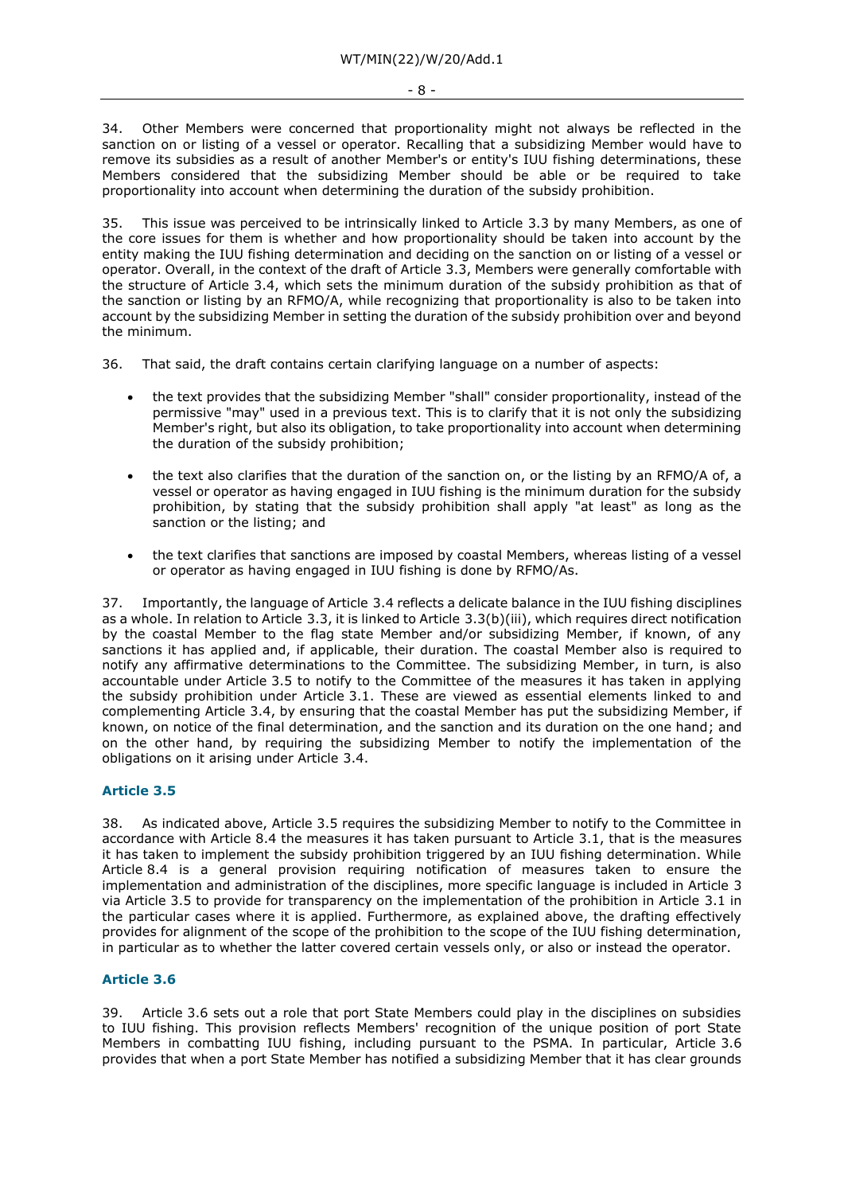34. Other Members were concerned that proportionality might not always be reflected in the sanction on or listing of a vessel or operator. Recalling that a subsidizing Member would have to remove its subsidies as a result of another Member's or entity's IUU fishing determinations, these Members considered that the subsidizing Member should be able or be required to take proportionality into account when determining the duration of the subsidy prohibition.

This issue was perceived to be intrinsically linked to Article 3.3 by many Members, as one of the core issues for them is whether and how proportionality should be taken into account by the entity making the IUU fishing determination and deciding on the sanction on or listing of a vessel or operator. Overall, in the context of the draft of Article 3.3, Members were generally comfortable with the structure of Article 3.4, which sets the minimum duration of the subsidy prohibition as that of the sanction or listing by an RFMO/A, while recognizing that proportionality is also to be taken into account by the subsidizing Member in setting the duration of the subsidy prohibition over and beyond the minimum.

- 36. That said, the draft contains certain clarifying language on a number of aspects:
	- the text provides that the subsidizing Member "shall" consider proportionality, instead of the permissive "may" used in a previous text. This is to clarify that it is not only the subsidizing Member's right, but also its obligation, to take proportionality into account when determining the duration of the subsidy prohibition;
	- the text also clarifies that the duration of the sanction on, or the listing by an RFMO/A of, a vessel or operator as having engaged in IUU fishing is the minimum duration for the subsidy prohibition, by stating that the subsidy prohibition shall apply "at least" as long as the sanction or the listing; and
	- the text clarifies that sanctions are imposed by coastal Members, whereas listing of a vessel or operator as having engaged in IUU fishing is done by RFMO/As.

37. Importantly, the language of Article 3.4 reflects a delicate balance in the IUU fishing disciplines as a whole. In relation to Article 3.3, it is linked to Article 3.3(b)(iii), which requires direct notification by the coastal Member to the flag state Member and/or subsidizing Member, if known, of any sanctions it has applied and, if applicable, their duration. The coastal Member also is required to notify any affirmative determinations to the Committee. The subsidizing Member, in turn, is also accountable under Article 3.5 to notify to the Committee of the measures it has taken in applying the subsidy prohibition under Article 3.1. These are viewed as essential elements linked to and complementing Article 3.4, by ensuring that the coastal Member has put the subsidizing Member, if known, on notice of the final determination, and the sanction and its duration on the one hand; and on the other hand, by requiring the subsidizing Member to notify the implementation of the obligations on it arising under Article 3.4.

# **Article 3.5**

38. As indicated above, Article 3.5 requires the subsidizing Member to notify to the Committee in accordance with Article 8.4 the measures it has taken pursuant to Article 3.1, that is the measures it has taken to implement the subsidy prohibition triggered by an IUU fishing determination. While Article 8.4 is a general provision requiring notification of measures taken to ensure the implementation and administration of the disciplines, more specific language is included in Article 3 via Article 3.5 to provide for transparency on the implementation of the prohibition in Article 3.1 in the particular cases where it is applied. Furthermore, as explained above, the drafting effectively provides for alignment of the scope of the prohibition to the scope of the IUU fishing determination, in particular as to whether the latter covered certain vessels only, or also or instead the operator.

# **Article 3.6**

39. Article 3.6 sets out a role that port State Members could play in the disciplines on subsidies to IUU fishing. This provision reflects Members' recognition of the unique position of port State Members in combatting IUU fishing, including pursuant to the PSMA. In particular, Article 3.6 provides that when a port State Member has notified a subsidizing Member that it has clear grounds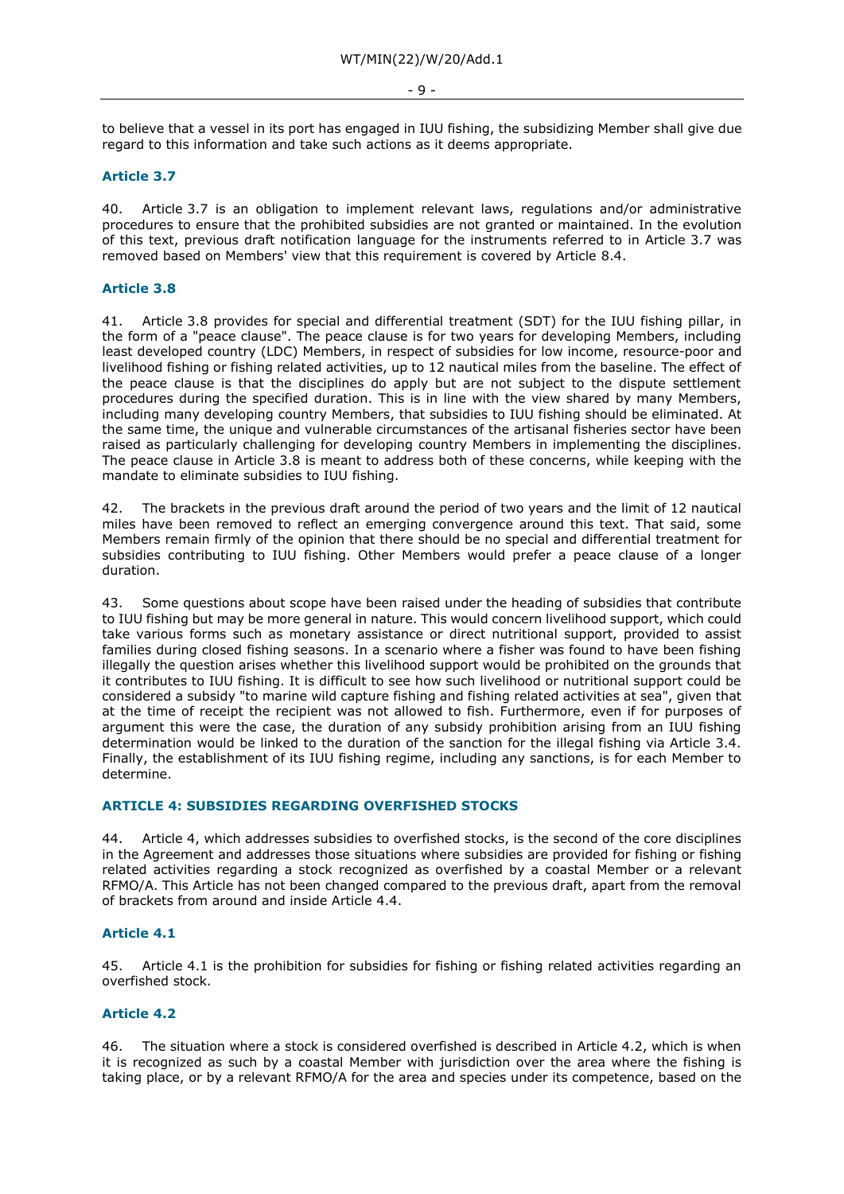#### - 9 -

to believe that a vessel in its port has engaged in IUU fishing, the subsidizing Member shall give due regard to this information and take such actions as it deems appropriate.

# **Article 3.7**

40. Article 3.7 is an obligation to implement relevant laws, regulations and/or administrative procedures to ensure that the prohibited subsidies are not granted or maintained. In the evolution of this text, previous draft notification language for the instruments referred to in Article 3.7 was removed based on Members' view that this requirement is covered by Article 8.4.

### **Article 3.8**

41. Article 3.8 provides for special and differential treatment (SDT) for the IUU fishing pillar, in the form of a "peace clause". The peace clause is for two years for developing Members, including least developed country (LDC) Members, in respect of subsidies for low income, resource-poor and livelihood fishing or fishing related activities, up to 12 nautical miles from the baseline. The effect of the peace clause is that the disciplines do apply but are not subject to the dispute settlement procedures during the specified duration. This is in line with the view shared by many Members, including many developing country Members, that subsidies to IUU fishing should be eliminated. At the same time, the unique and vulnerable circumstances of the artisanal fisheries sector have been raised as particularly challenging for developing country Members in implementing the disciplines. The peace clause in Article 3.8 is meant to address both of these concerns, while keeping with the mandate to eliminate subsidies to IUU fishing.

42. The brackets in the previous draft around the period of two years and the limit of 12 nautical miles have been removed to reflect an emerging convergence around this text. That said, some Members remain firmly of the opinion that there should be no special and differential treatment for subsidies contributing to IUU fishing. Other Members would prefer a peace clause of a longer duration.

43. Some questions about scope have been raised under the heading of subsidies that contribute to IUU fishing but may be more general in nature. This would concern livelihood support, which could take various forms such as monetary assistance or direct nutritional support, provided to assist families during closed fishing seasons. In a scenario where a fisher was found to have been fishing illegally the question arises whether this livelihood support would be prohibited on the grounds that it contributes to IUU fishing. It is difficult to see how such livelihood or nutritional support could be considered a subsidy "to marine wild capture fishing and fishing related activities at sea", given that at the time of receipt the recipient was not allowed to fish. Furthermore, even if for purposes of argument this were the case, the duration of any subsidy prohibition arising from an IUU fishing determination would be linked to the duration of the sanction for the illegal fishing via Article 3.4. Finally, the establishment of its IUU fishing regime, including any sanctions, is for each Member to determine.

### **ARTICLE 4: SUBSIDIES REGARDING OVERFISHED STOCKS**

44. Article 4, which addresses subsidies to overfished stocks, is the second of the core disciplines in the Agreement and addresses those situations where subsidies are provided for fishing or fishing related activities regarding a stock recognized as overfished by a coastal Member or a relevant RFMO/A. This Article has not been changed compared to the previous draft, apart from the removal of brackets from around and inside Article 4.4.

# **Article 4.1**

45. Article 4.1 is the prohibition for subsidies for fishing or fishing related activities regarding an overfished stock.

#### **Article 4.2**

46. The situation where a stock is considered overfished is described in Article 4.2, which is when it is recognized as such by a coastal Member with jurisdiction over the area where the fishing is taking place, or by a relevant RFMO/A for the area and species under its competence, based on the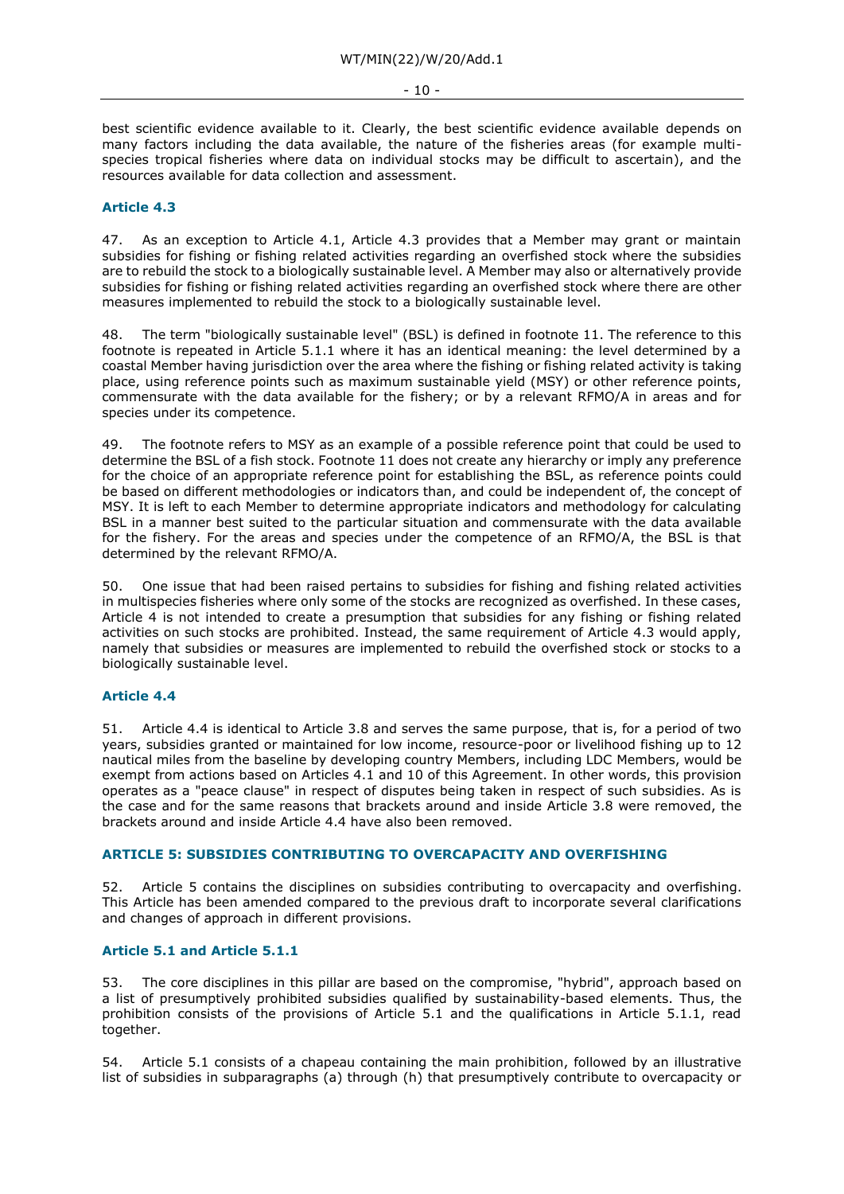best scientific evidence available to it. Clearly, the best scientific evidence available depends on many factors including the data available, the nature of the fisheries areas (for example multispecies tropical fisheries where data on individual stocks may be difficult to ascertain), and the resources available for data collection and assessment.

# **Article 4.3**

47. As an exception to Article 4.1, Article 4.3 provides that a Member may grant or maintain subsidies for fishing or fishing related activities regarding an overfished stock where the subsidies are to rebuild the stock to a biologically sustainable level. A Member may also or alternatively provide subsidies for fishing or fishing related activities regarding an overfished stock where there are other measures implemented to rebuild the stock to a biologically sustainable level.

48. The term "biologically sustainable level" (BSL) is defined in footnote 11. The reference to this footnote is repeated in Article 5.1.1 where it has an identical meaning: the level determined by a coastal Member having jurisdiction over the area where the fishing or fishing related activity is taking place, using reference points such as maximum sustainable yield (MSY) or other reference points, commensurate with the data available for the fishery; or by a relevant RFMO/A in areas and for species under its competence.

49. The footnote refers to MSY as an example of a possible reference point that could be used to determine the BSL of a fish stock. Footnote 11 does not create any hierarchy or imply any preference for the choice of an appropriate reference point for establishing the BSL, as reference points could be based on different methodologies or indicators than, and could be independent of, the concept of MSY. It is left to each Member to determine appropriate indicators and methodology for calculating BSL in a manner best suited to the particular situation and commensurate with the data available for the fishery. For the areas and species under the competence of an RFMO/A, the BSL is that determined by the relevant RFMO/A.

50. One issue that had been raised pertains to subsidies for fishing and fishing related activities in multispecies fisheries where only some of the stocks are recognized as overfished. In these cases, Article 4 is not intended to create a presumption that subsidies for any fishing or fishing related activities on such stocks are prohibited. Instead, the same requirement of Article 4.3 would apply, namely that subsidies or measures are implemented to rebuild the overfished stock or stocks to a biologically sustainable level.

# **Article 4.4**

51. Article 4.4 is identical to Article 3.8 and serves the same purpose, that is, for a period of two years, subsidies granted or maintained for low income, resource-poor or livelihood fishing up to 12 nautical miles from the baseline by developing country Members, including LDC Members, would be exempt from actions based on Articles 4.1 and 10 of this Agreement. In other words, this provision operates as a "peace clause" in respect of disputes being taken in respect of such subsidies. As is the case and for the same reasons that brackets around and inside Article 3.8 were removed, the brackets around and inside Article 4.4 have also been removed.

# **ARTICLE 5: SUBSIDIES CONTRIBUTING TO OVERCAPACITY AND OVERFISHING**

52. Article 5 contains the disciplines on subsidies contributing to overcapacity and overfishing. This Article has been amended compared to the previous draft to incorporate several clarifications and changes of approach in different provisions.

# **Article 5.1 and Article 5.1.1**

53. The core disciplines in this pillar are based on the compromise, "hybrid", approach based on a list of presumptively prohibited subsidies qualified by sustainability-based elements. Thus, the prohibition consists of the provisions of Article 5.1 and the qualifications in Article 5.1.1, read together.

54. Article 5.1 consists of a chapeau containing the main prohibition, followed by an illustrative list of subsidies in subparagraphs (a) through (h) that presumptively contribute to overcapacity or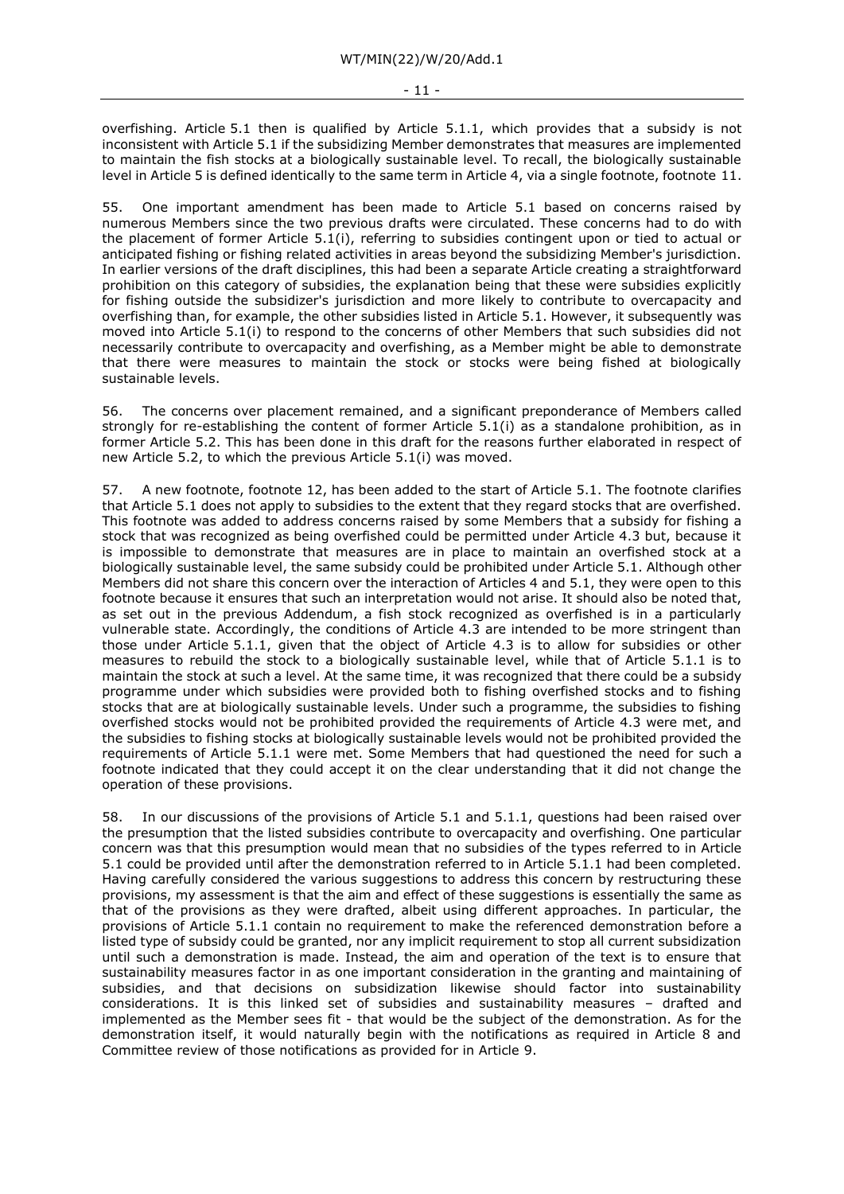overfishing. Article 5.1 then is qualified by Article 5.1.1, which provides that a subsidy is not inconsistent with Article 5.1 if the subsidizing Member demonstrates that measures are implemented to maintain the fish stocks at a biologically sustainable level. To recall, the biologically sustainable level in Article 5 is defined identically to the same term in Article 4, via a single footnote, footnote 11.

55. One important amendment has been made to Article 5.1 based on concerns raised by numerous Members since the two previous drafts were circulated. These concerns had to do with the placement of former Article 5.1(i), referring to subsidies contingent upon or tied to actual or anticipated fishing or fishing related activities in areas beyond the subsidizing Member's jurisdiction. In earlier versions of the draft disciplines, this had been a separate Article creating a straightforward prohibition on this category of subsidies, the explanation being that these were subsidies explicitly for fishing outside the subsidizer's jurisdiction and more likely to contribute to overcapacity and overfishing than, for example, the other subsidies listed in Article 5.1. However, it subsequently was moved into Article 5.1(i) to respond to the concerns of other Members that such subsidies did not necessarily contribute to overcapacity and overfishing, as a Member might be able to demonstrate that there were measures to maintain the stock or stocks were being fished at biologically sustainable levels.

56. The concerns over placement remained, and a significant preponderance of Members called strongly for re-establishing the content of former Article 5.1(i) as a standalone prohibition, as in former Article 5.2. This has been done in this draft for the reasons further elaborated in respect of new Article 5.2, to which the previous Article 5.1(i) was moved.

57. A new footnote, footnote 12, has been added to the start of Article 5.1. The footnote clarifies that Article 5.1 does not apply to subsidies to the extent that they regard stocks that are overfished. This footnote was added to address concerns raised by some Members that a subsidy for fishing a stock that was recognized as being overfished could be permitted under Article 4.3 but, because it is impossible to demonstrate that measures are in place to maintain an overfished stock at a biologically sustainable level, the same subsidy could be prohibited under Article 5.1. Although other Members did not share this concern over the interaction of Articles 4 and 5.1, they were open to this footnote because it ensures that such an interpretation would not arise. It should also be noted that, as set out in the previous Addendum, a fish stock recognized as overfished is in a particularly vulnerable state. Accordingly, the conditions of Article 4.3 are intended to be more stringent than those under Article 5.1.1, given that the object of Article 4.3 is to allow for subsidies or other measures to rebuild the stock to a biologically sustainable level, while that of Article 5.1.1 is to maintain the stock at such a level. At the same time, it was recognized that there could be a subsidy programme under which subsidies were provided both to fishing overfished stocks and to fishing stocks that are at biologically sustainable levels. Under such a programme, the subsidies to fishing overfished stocks would not be prohibited provided the requirements of Article 4.3 were met, and the subsidies to fishing stocks at biologically sustainable levels would not be prohibited provided the requirements of Article 5.1.1 were met. Some Members that had questioned the need for such a footnote indicated that they could accept it on the clear understanding that it did not change the operation of these provisions.

58. In our discussions of the provisions of Article 5.1 and 5.1.1, questions had been raised over the presumption that the listed subsidies contribute to overcapacity and overfishing. One particular concern was that this presumption would mean that no subsidies of the types referred to in Article 5.1 could be provided until after the demonstration referred to in Article 5.1.1 had been completed. Having carefully considered the various suggestions to address this concern by restructuring these provisions, my assessment is that the aim and effect of these suggestions is essentially the same as that of the provisions as they were drafted, albeit using different approaches. In particular, the provisions of Article 5.1.1 contain no requirement to make the referenced demonstration before a listed type of subsidy could be granted, nor any implicit requirement to stop all current subsidization until such a demonstration is made. Instead, the aim and operation of the text is to ensure that sustainability measures factor in as one important consideration in the granting and maintaining of subsidies, and that decisions on subsidization likewise should factor into sustainability considerations. It is this linked set of subsidies and sustainability measures – drafted and implemented as the Member sees fit - that would be the subject of the demonstration. As for the demonstration itself, it would naturally begin with the notifications as required in Article 8 and Committee review of those notifications as provided for in Article 9.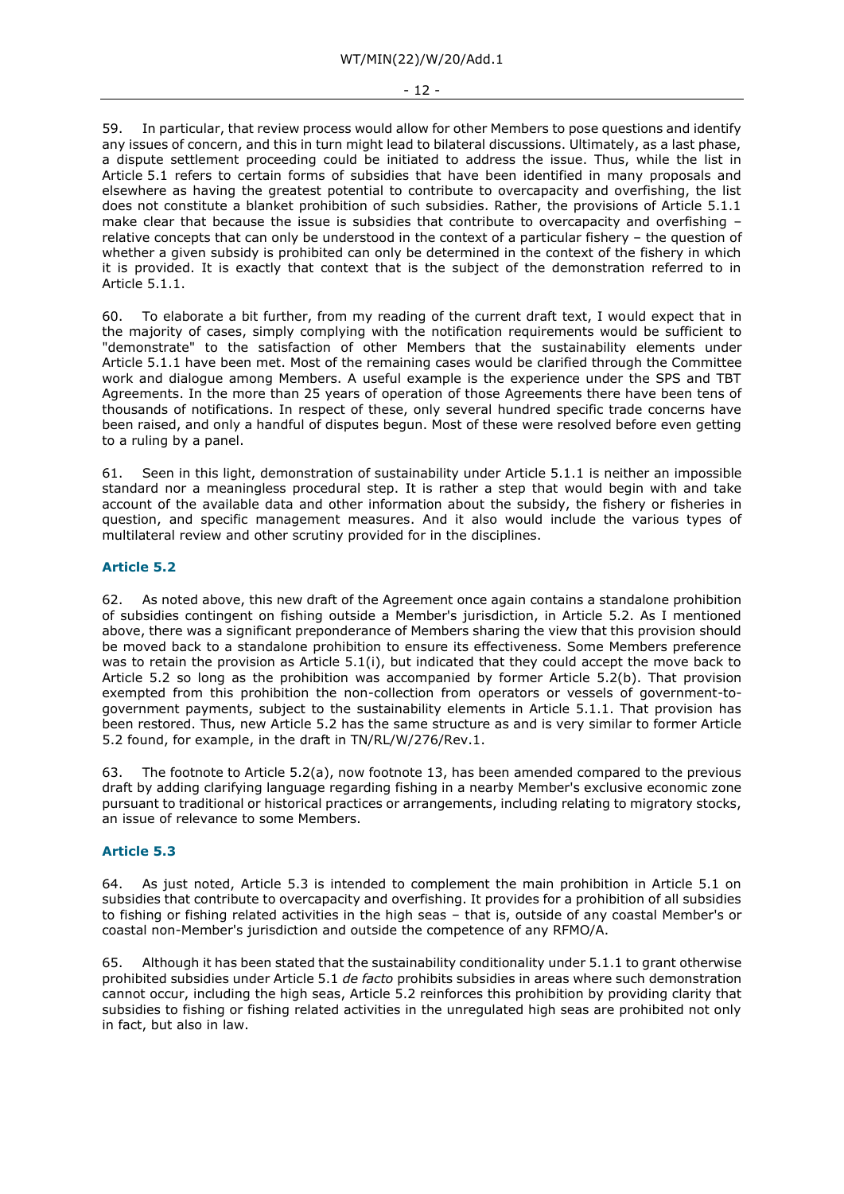#### - 12 -

59. In particular, that review process would allow for other Members to pose questions and identify any issues of concern, and this in turn might lead to bilateral discussions. Ultimately, as a last phase, a dispute settlement proceeding could be initiated to address the issue. Thus, while the list in Article 5.1 refers to certain forms of subsidies that have been identified in many proposals and elsewhere as having the greatest potential to contribute to overcapacity and overfishing, the list does not constitute a blanket prohibition of such subsidies. Rather, the provisions of Article 5.1.1 make clear that because the issue is subsidies that contribute to overcapacity and overfishing relative concepts that can only be understood in the context of a particular fishery – the question of whether a given subsidy is prohibited can only be determined in the context of the fishery in which it is provided. It is exactly that context that is the subject of the demonstration referred to in Article 5.1.1.

60. To elaborate a bit further, from my reading of the current draft text, I would expect that in the majority of cases, simply complying with the notification requirements would be sufficient to "demonstrate" to the satisfaction of other Members that the sustainability elements under Article 5.1.1 have been met. Most of the remaining cases would be clarified through the Committee work and dialogue among Members. A useful example is the experience under the SPS and TBT Agreements. In the more than 25 years of operation of those Agreements there have been tens of thousands of notifications. In respect of these, only several hundred specific trade concerns have been raised, and only a handful of disputes begun. Most of these were resolved before even getting to a ruling by a panel.

61. Seen in this light, demonstration of sustainability under Article 5.1.1 is neither an impossible standard nor a meaningless procedural step. It is rather a step that would begin with and take account of the available data and other information about the subsidy, the fishery or fisheries in question, and specific management measures. And it also would include the various types of multilateral review and other scrutiny provided for in the disciplines.

# **Article 5.2**

62. As noted above, this new draft of the Agreement once again contains a standalone prohibition of subsidies contingent on fishing outside a Member's jurisdiction, in Article 5.2. As I mentioned above, there was a significant preponderance of Members sharing the view that this provision should be moved back to a standalone prohibition to ensure its effectiveness. Some Members preference was to retain the provision as Article 5.1(i), but indicated that they could accept the move back to Article 5.2 so long as the prohibition was accompanied by former Article 5.2(b). That provision exempted from this prohibition the non-collection from operators or vessels of government-togovernment payments, subject to the sustainability elements in Article 5.1.1. That provision has been restored. Thus, new Article 5.2 has the same structure as and is very similar to former Article 5.2 found, for example, in the draft in TN/RL/W/276/Rev.1.

63. The footnote to Article 5.2(a), now footnote 13, has been amended compared to the previous draft by adding clarifying language regarding fishing in a nearby Member's exclusive economic zone pursuant to traditional or historical practices or arrangements, including relating to migratory stocks, an issue of relevance to some Members.

# **Article 5.3**

64. As just noted, Article 5.3 is intended to complement the main prohibition in Article 5.1 on subsidies that contribute to overcapacity and overfishing. It provides for a prohibition of all subsidies to fishing or fishing related activities in the high seas – that is, outside of any coastal Member's or coastal non-Member's jurisdiction and outside the competence of any RFMO/A.

65. Although it has been stated that the sustainability conditionality under 5.1.1 to grant otherwise prohibited subsidies under Article 5.1 *de facto* prohibits subsidies in areas where such demonstration cannot occur, including the high seas, Article 5.2 reinforces this prohibition by providing clarity that subsidies to fishing or fishing related activities in the unregulated high seas are prohibited not only in fact, but also in law.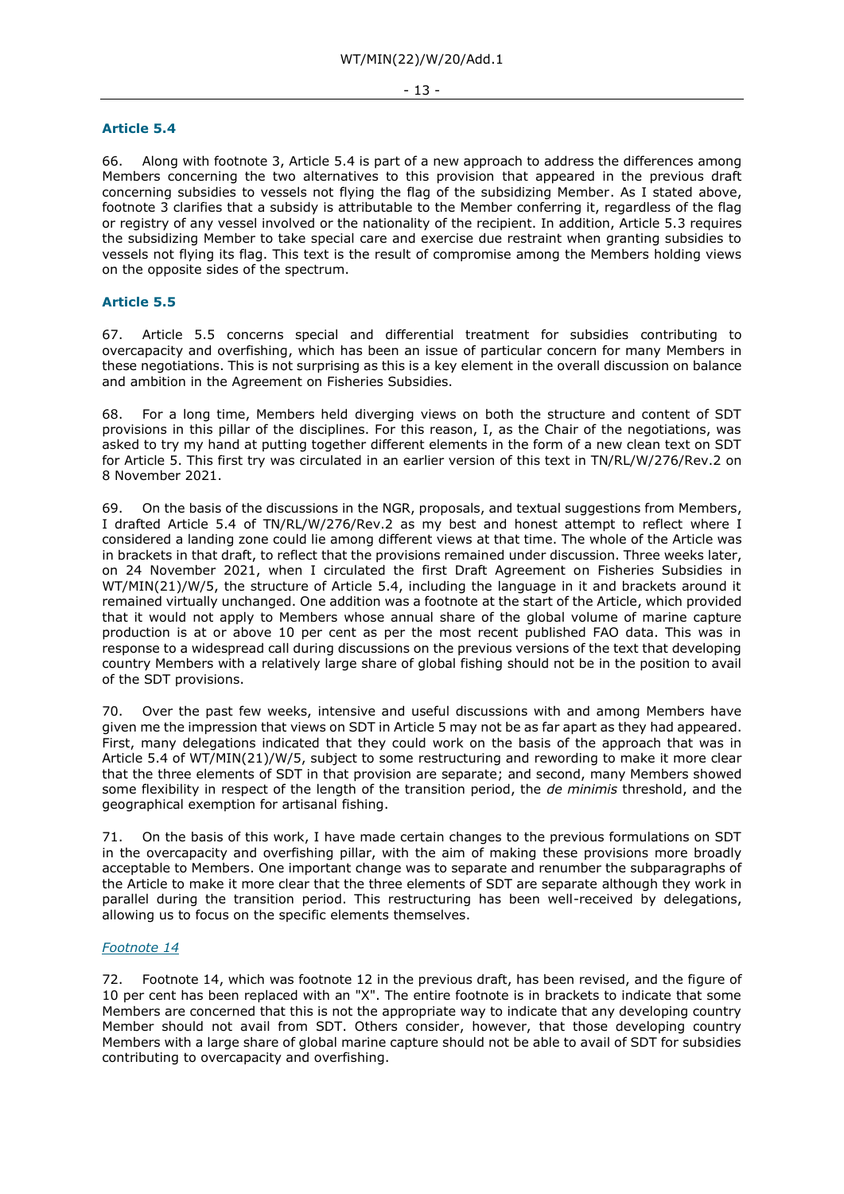#### **Article 5.4**

66. Along with footnote 3, Article 5.4 is part of a new approach to address the differences among Members concerning the two alternatives to this provision that appeared in the previous draft concerning subsidies to vessels not flying the flag of the subsidizing Member. As I stated above, footnote 3 clarifies that a subsidy is attributable to the Member conferring it, regardless of the flag or registry of any vessel involved or the nationality of the recipient. In addition, Article 5.3 requires the subsidizing Member to take special care and exercise due restraint when granting subsidies to vessels not flying its flag. This text is the result of compromise among the Members holding views on the opposite sides of the spectrum.

# **Article 5.5**

67. Article 5.5 concerns special and differential treatment for subsidies contributing to overcapacity and overfishing, which has been an issue of particular concern for many Members in these negotiations. This is not surprising as this is a key element in the overall discussion on balance and ambition in the Agreement on Fisheries Subsidies.

68. For a long time, Members held diverging views on both the structure and content of SDT provisions in this pillar of the disciplines. For this reason, I, as the Chair of the negotiations, was asked to try my hand at putting together different elements in the form of a new clean text on SDT for Article 5. This first try was circulated in an earlier version of this text in TN/RL/W/276/Rev.2 on 8 November 2021.

69. On the basis of the discussions in the NGR, proposals, and textual suggestions from Members, I drafted Article 5.4 of TN/RL/W/276/Rev.2 as my best and honest attempt to reflect where I considered a landing zone could lie among different views at that time. The whole of the Article was in brackets in that draft, to reflect that the provisions remained under discussion. Three weeks later, on 24 November 2021, when I circulated the first Draft Agreement on Fisheries Subsidies in WT/MIN(21)/W/5, the structure of Article 5.4, including the language in it and brackets around it remained virtually unchanged. One addition was a footnote at the start of the Article, which provided that it would not apply to Members whose annual share of the global volume of marine capture production is at or above 10 per cent as per the most recent published FAO data. This was in response to a widespread call during discussions on the previous versions of the text that developing country Members with a relatively large share of global fishing should not be in the position to avail of the SDT provisions.

70. Over the past few weeks, intensive and useful discussions with and among Members have given me the impression that views on SDT in Article 5 may not be as far apart as they had appeared. First, many delegations indicated that they could work on the basis of the approach that was in Article 5.4 of WT/MIN(21)/W/5, subject to some restructuring and rewording to make it more clear that the three elements of SDT in that provision are separate; and second, many Members showed some flexibility in respect of the length of the transition period, the *de minimis* threshold, and the geographical exemption for artisanal fishing.

71. On the basis of this work, I have made certain changes to the previous formulations on SDT in the overcapacity and overfishing pillar, with the aim of making these provisions more broadly acceptable to Members. One important change was to separate and renumber the subparagraphs of the Article to make it more clear that the three elements of SDT are separate although they work in parallel during the transition period. This restructuring has been well-received by delegations, allowing us to focus on the specific elements themselves.

#### *Footnote 14*

72. Footnote 14, which was footnote 12 in the previous draft, has been revised, and the figure of 10 per cent has been replaced with an "X". The entire footnote is in brackets to indicate that some Members are concerned that this is not the appropriate way to indicate that any developing country Member should not avail from SDT. Others consider, however, that those developing country Members with a large share of global marine capture should not be able to avail of SDT for subsidies contributing to overcapacity and overfishing.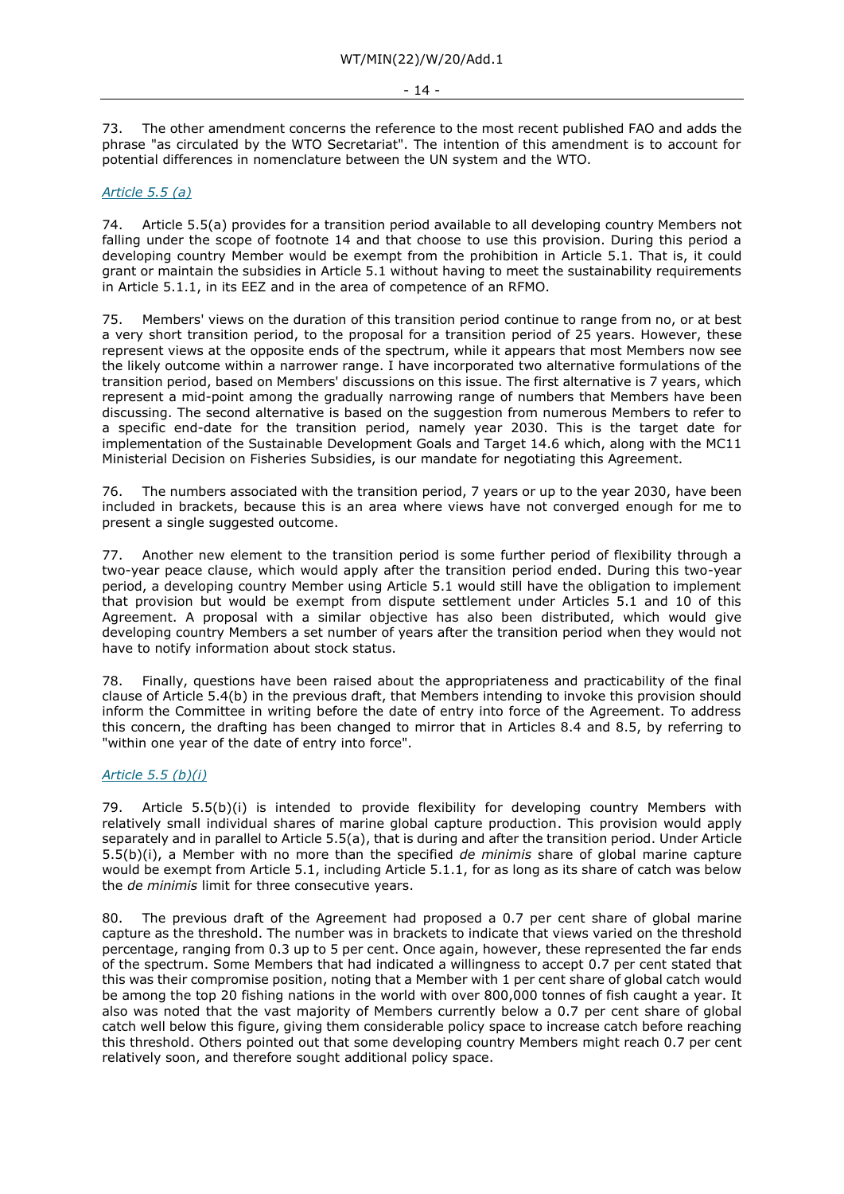73. The other amendment concerns the reference to the most recent published FAO and adds the phrase "as circulated by the WTO Secretariat". The intention of this amendment is to account for potential differences in nomenclature between the UN system and the WTO.

#### *Article 5.5 (a)*

74. Article 5.5(a) provides for a transition period available to all developing country Members not falling under the scope of footnote 14 and that choose to use this provision. During this period a developing country Member would be exempt from the prohibition in Article 5.1. That is, it could grant or maintain the subsidies in Article 5.1 without having to meet the sustainability requirements in Article 5.1.1, in its EEZ and in the area of competence of an RFMO.

75. Members' views on the duration of this transition period continue to range from no, or at best a very short transition period, to the proposal for a transition period of 25 years. However, these represent views at the opposite ends of the spectrum, while it appears that most Members now see the likely outcome within a narrower range. I have incorporated two alternative formulations of the transition period, based on Members' discussions on this issue. The first alternative is 7 years, which represent a mid-point among the gradually narrowing range of numbers that Members have been discussing. The second alternative is based on the suggestion from numerous Members to refer to a specific end-date for the transition period, namely year 2030. This is the target date for implementation of the Sustainable Development Goals and Target 14.6 which, along with the MC11 Ministerial Decision on Fisheries Subsidies, is our mandate for negotiating this Agreement.

76. The numbers associated with the transition period, 7 years or up to the year 2030, have been included in brackets, because this is an area where views have not converged enough for me to present a single suggested outcome.

77. Another new element to the transition period is some further period of flexibility through a two-year peace clause, which would apply after the transition period ended. During this two-year period, a developing country Member using Article 5.1 would still have the obligation to implement that provision but would be exempt from dispute settlement under Articles 5.1 and 10 of this Agreement. A proposal with a similar objective has also been distributed, which would give developing country Members a set number of years after the transition period when they would not have to notify information about stock status.

78. Finally, questions have been raised about the appropriateness and practicability of the final clause of Article 5.4(b) in the previous draft, that Members intending to invoke this provision should inform the Committee in writing before the date of entry into force of the Agreement. To address this concern, the drafting has been changed to mirror that in Articles 8.4 and 8.5, by referring to "within one year of the date of entry into force".

# *Article 5.5 (b)(i)*

79. Article 5.5(b)(i) is intended to provide flexibility for developing country Members with relatively small individual shares of marine global capture production. This provision would apply separately and in parallel to Article 5.5(a), that is during and after the transition period. Under Article 5.5(b)(i), a Member with no more than the specified *de minimis* share of global marine capture would be exempt from Article 5.1, including Article 5.1.1, for as long as its share of catch was below the *de minimis* limit for three consecutive years.

80. The previous draft of the Agreement had proposed a 0.7 per cent share of global marine capture as the threshold. The number was in brackets to indicate that views varied on the threshold percentage, ranging from 0.3 up to 5 per cent. Once again, however, these represented the far ends of the spectrum. Some Members that had indicated a willingness to accept 0.7 per cent stated that this was their compromise position, noting that a Member with 1 per cent share of global catch would be among the top 20 fishing nations in the world with over 800,000 tonnes of fish caught a year. It also was noted that the vast majority of Members currently below a 0.7 per cent share of global catch well below this figure, giving them considerable policy space to increase catch before reaching this threshold. Others pointed out that some developing country Members might reach 0.7 per cent relatively soon, and therefore sought additional policy space.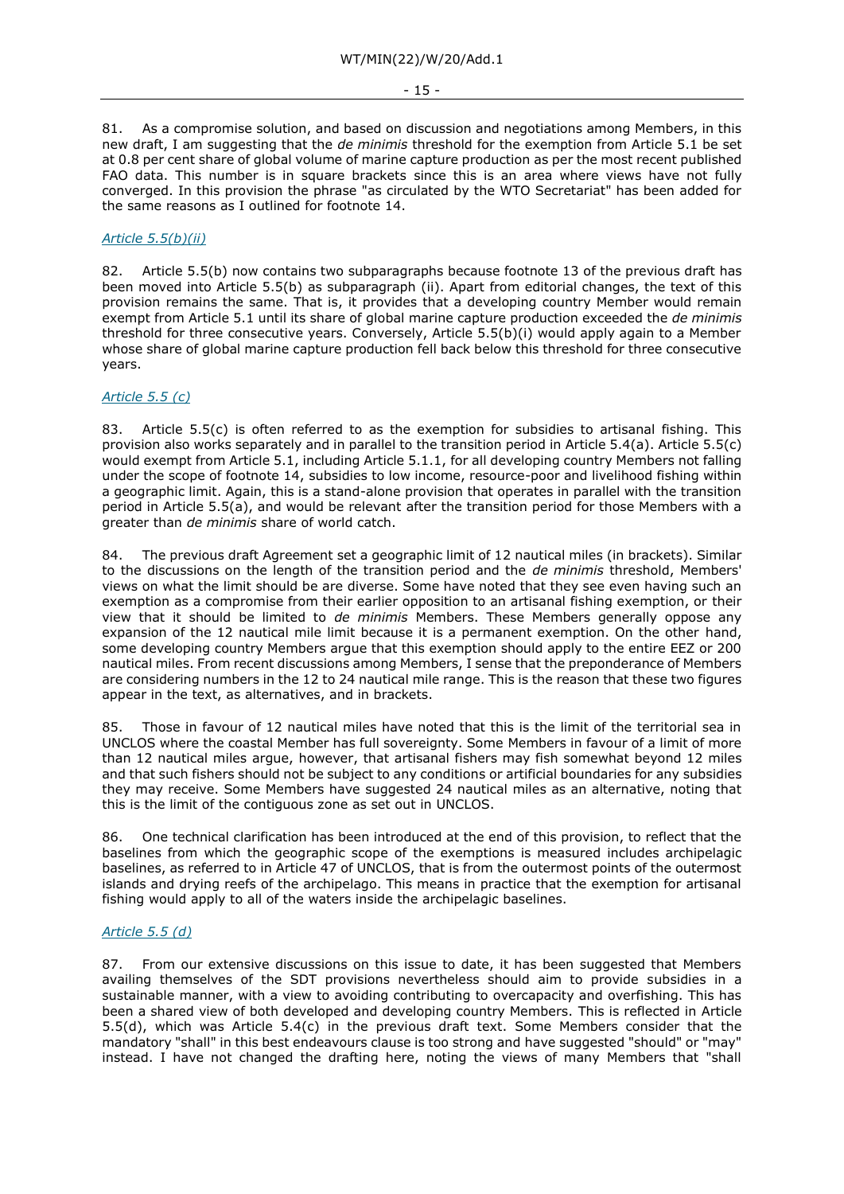81. As a compromise solution, and based on discussion and negotiations among Members, in this new draft, I am suggesting that the *de minimis* threshold for the exemption from Article 5.1 be set at 0.8 per cent share of global volume of marine capture production as per the most recent published FAO data. This number is in square brackets since this is an area where views have not fully converged. In this provision the phrase "as circulated by the WTO Secretariat" has been added for the same reasons as I outlined for footnote 14.

# *Article 5.5(b)(ii)*

82. Article 5.5(b) now contains two subparagraphs because footnote 13 of the previous draft has been moved into Article 5.5(b) as subparagraph (ii). Apart from editorial changes, the text of this provision remains the same. That is, it provides that a developing country Member would remain exempt from Article 5.1 until its share of global marine capture production exceeded the *de minimis*  threshold for three consecutive years. Conversely, Article 5.5(b)(i) would apply again to a Member whose share of global marine capture production fell back below this threshold for three consecutive years.

#### *Article 5.5 (c)*

83. Article 5.5(c) is often referred to as the exemption for subsidies to artisanal fishing. This provision also works separately and in parallel to the transition period in Article 5.4(a). Article 5.5(c) would exempt from Article 5.1, including Article 5.1.1, for all developing country Members not falling under the scope of footnote 14, subsidies to low income, resource-poor and livelihood fishing within a geographic limit. Again, this is a stand-alone provision that operates in parallel with the transition period in Article 5.5(a), and would be relevant after the transition period for those Members with a greater than *de minimis* share of world catch.

84. The previous draft Agreement set a geographic limit of 12 nautical miles (in brackets). Similar to the discussions on the length of the transition period and the *de minimis* threshold, Members' views on what the limit should be are diverse. Some have noted that they see even having such an exemption as a compromise from their earlier opposition to an artisanal fishing exemption, or their view that it should be limited to *de minimis* Members. These Members generally oppose any expansion of the 12 nautical mile limit because it is a permanent exemption. On the other hand, some developing country Members argue that this exemption should apply to the entire EEZ or 200 nautical miles. From recent discussions among Members, I sense that the preponderance of Members are considering numbers in the 12 to 24 nautical mile range. This is the reason that these two figures appear in the text, as alternatives, and in brackets.

85. Those in favour of 12 nautical miles have noted that this is the limit of the territorial sea in UNCLOS where the coastal Member has full sovereignty. Some Members in favour of a limit of more than 12 nautical miles argue, however, that artisanal fishers may fish somewhat beyond 12 miles and that such fishers should not be subject to any conditions or artificial boundaries for any subsidies they may receive. Some Members have suggested 24 nautical miles as an alternative, noting that this is the limit of the contiguous zone as set out in UNCLOS.

86. One technical clarification has been introduced at the end of this provision, to reflect that the baselines from which the geographic scope of the exemptions is measured includes archipelagic baselines, as referred to in Article 47 of UNCLOS, that is from the outermost points of the outermost islands and drying reefs of the archipelago. This means in practice that the exemption for artisanal fishing would apply to all of the waters inside the archipelagic baselines.

#### *Article 5.5 (d)*

87. From our extensive discussions on this issue to date, it has been suggested that Members availing themselves of the SDT provisions nevertheless should aim to provide subsidies in a sustainable manner, with a view to avoiding contributing to overcapacity and overfishing. This has been a shared view of both developed and developing country Members. This is reflected in Article 5.5(d), which was Article 5.4(c) in the previous draft text. Some Members consider that the mandatory "shall" in this best endeavours clause is too strong and have suggested "should" or "may" instead. I have not changed the drafting here, noting the views of many Members that "shall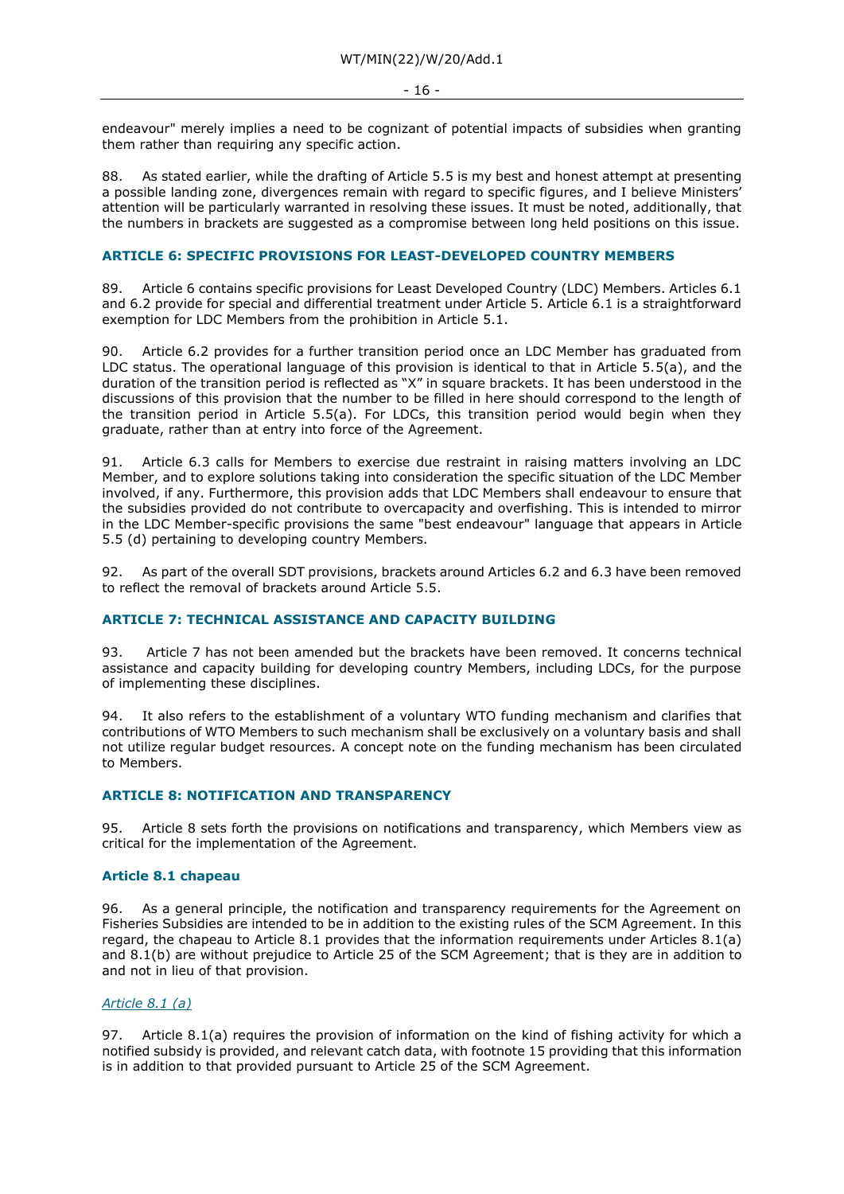endeavour" merely implies a need to be cognizant of potential impacts of subsidies when granting them rather than requiring any specific action.

88. As stated earlier, while the drafting of Article 5.5 is my best and honest attempt at presenting a possible landing zone, divergences remain with regard to specific figures, and I believe Ministers' attention will be particularly warranted in resolving these issues. It must be noted, additionally, that the numbers in brackets are suggested as a compromise between long held positions on this issue.

# **ARTICLE 6: SPECIFIC PROVISIONS FOR LEAST-DEVELOPED COUNTRY MEMBERS**

89. Article 6 contains specific provisions for Least Developed Country (LDC) Members. Articles 6.1 and 6.2 provide for special and differential treatment under Article 5. Article 6.1 is a straightforward exemption for LDC Members from the prohibition in Article 5.1.

90. Article 6.2 provides for a further transition period once an LDC Member has graduated from LDC status. The operational language of this provision is identical to that in Article 5.5(a), and the duration of the transition period is reflected as "X" in square brackets. It has been understood in the discussions of this provision that the number to be filled in here should correspond to the length of the transition period in Article 5.5(a). For LDCs, this transition period would begin when they graduate, rather than at entry into force of the Agreement.

91. Article 6.3 calls for Members to exercise due restraint in raising matters involving an LDC Member, and to explore solutions taking into consideration the specific situation of the LDC Member involved, if any. Furthermore, this provision adds that LDC Members shall endeavour to ensure that the subsidies provided do not contribute to overcapacity and overfishing. This is intended to mirror in the LDC Member-specific provisions the same "best endeavour" language that appears in Article 5.5 (d) pertaining to developing country Members.

92. As part of the overall SDT provisions, brackets around Articles 6.2 and 6.3 have been removed to reflect the removal of brackets around Article 5.5.

# **ARTICLE 7: TECHNICAL ASSISTANCE AND CAPACITY BUILDING**

93. Article 7 has not been amended but the brackets have been removed. It concerns technical assistance and capacity building for developing country Members, including LDCs, for the purpose of implementing these disciplines.

94. It also refers to the establishment of a voluntary WTO funding mechanism and clarifies that contributions of WTO Members to such mechanism shall be exclusively on a voluntary basis and shall not utilize regular budget resources. A concept note on the funding mechanism has been circulated to Members.

# **ARTICLE 8: NOTIFICATION AND TRANSPARENCY**

95. Article 8 sets forth the provisions on notifications and transparency, which Members view as critical for the implementation of the Agreement.

# **Article 8.1 chapeau**

96. As a general principle, the notification and transparency requirements for the Agreement on Fisheries Subsidies are intended to be in addition to the existing rules of the SCM Agreement. In this regard, the chapeau to Article 8.1 provides that the information requirements under Articles 8.1(a) and 8.1(b) are without prejudice to Article 25 of the SCM Agreement; that is they are in addition to and not in lieu of that provision.

### *Article 8.1 (a)*

97. Article 8.1(a) requires the provision of information on the kind of fishing activity for which a notified subsidy is provided, and relevant catch data, with footnote 15 providing that this information is in addition to that provided pursuant to Article 25 of the SCM Agreement.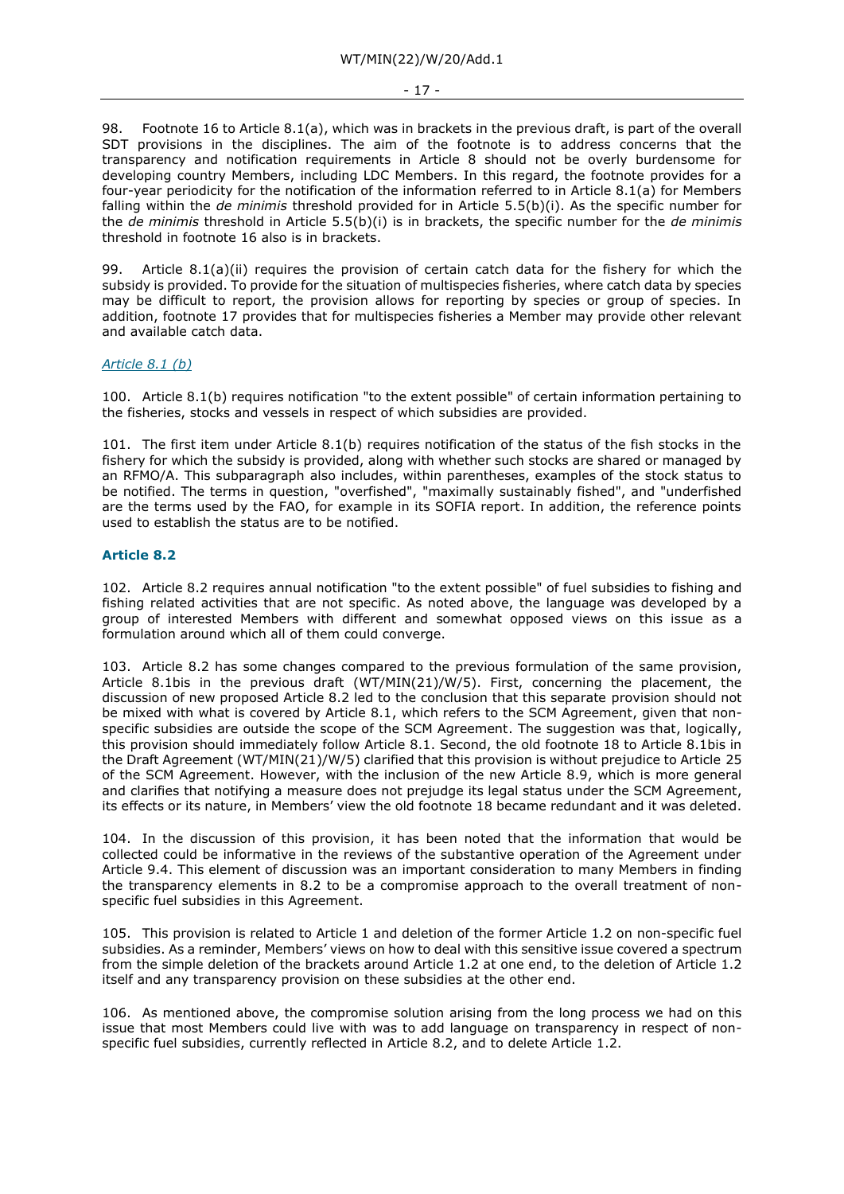#### - 17 -

98. Footnote 16 to Article 8.1(a), which was in brackets in the previous draft, is part of the overall SDT provisions in the disciplines. The aim of the footnote is to address concerns that the transparency and notification requirements in Article 8 should not be overly burdensome for developing country Members, including LDC Members. In this regard, the footnote provides for a four-year periodicity for the notification of the information referred to in Article 8.1(a) for Members falling within the *de minimis* threshold provided for in Article 5.5(b)(i). As the specific number for the *de minimis* threshold in Article 5.5(b)(i) is in brackets, the specific number for the *de minimis*  threshold in footnote 16 also is in brackets.

99. Article 8.1(a)(ii) requires the provision of certain catch data for the fishery for which the subsidy is provided. To provide for the situation of multispecies fisheries, where catch data by species may be difficult to report, the provision allows for reporting by species or group of species. In addition, footnote 17 provides that for multispecies fisheries a Member may provide other relevant and available catch data.

### *Article 8.1 (b)*

100. Article 8.1(b) requires notification "to the extent possible" of certain information pertaining to the fisheries, stocks and vessels in respect of which subsidies are provided.

101. The first item under Article 8.1(b) requires notification of the status of the fish stocks in the fishery for which the subsidy is provided, along with whether such stocks are shared or managed by an RFMO/A. This subparagraph also includes, within parentheses, examples of the stock status to be notified. The terms in question, "overfished", "maximally sustainably fished", and "underfished are the terms used by the FAO, for example in its SOFIA report. In addition, the reference points used to establish the status are to be notified.

# **Article 8.2**

102. Article 8.2 requires annual notification "to the extent possible" of fuel subsidies to fishing and fishing related activities that are not specific. As noted above, the language was developed by a group of interested Members with different and somewhat opposed views on this issue as a formulation around which all of them could converge.

103. Article 8.2 has some changes compared to the previous formulation of the same provision, Article 8.1bis in the previous draft (WT/MIN(21)/W/5). First, concerning the placement, the discussion of new proposed Article 8.2 led to the conclusion that this separate provision should not be mixed with what is covered by Article 8.1, which refers to the SCM Agreement, given that nonspecific subsidies are outside the scope of the SCM Agreement. The suggestion was that, logically, this provision should immediately follow Article 8.1. Second, the old footnote 18 to Article 8.1bis in the Draft Agreement (WT/MIN(21)/W/5) clarified that this provision is without prejudice to Article 25 of the SCM Agreement. However, with the inclusion of the new Article 8.9, which is more general and clarifies that notifying a measure does not prejudge its legal status under the SCM Agreement, its effects or its nature, in Members' view the old footnote 18 became redundant and it was deleted.

104. In the discussion of this provision, it has been noted that the information that would be collected could be informative in the reviews of the substantive operation of the Agreement under Article 9.4. This element of discussion was an important consideration to many Members in finding the transparency elements in 8.2 to be a compromise approach to the overall treatment of nonspecific fuel subsidies in this Agreement.

105. This provision is related to Article 1 and deletion of the former Article 1.2 on non-specific fuel subsidies. As a reminder, Members' views on how to deal with this sensitive issue covered a spectrum from the simple deletion of the brackets around Article 1.2 at one end, to the deletion of Article 1.2 itself and any transparency provision on these subsidies at the other end.

106. As mentioned above, the compromise solution arising from the long process we had on this issue that most Members could live with was to add language on transparency in respect of nonspecific fuel subsidies, currently reflected in Article 8.2, and to delete Article 1.2.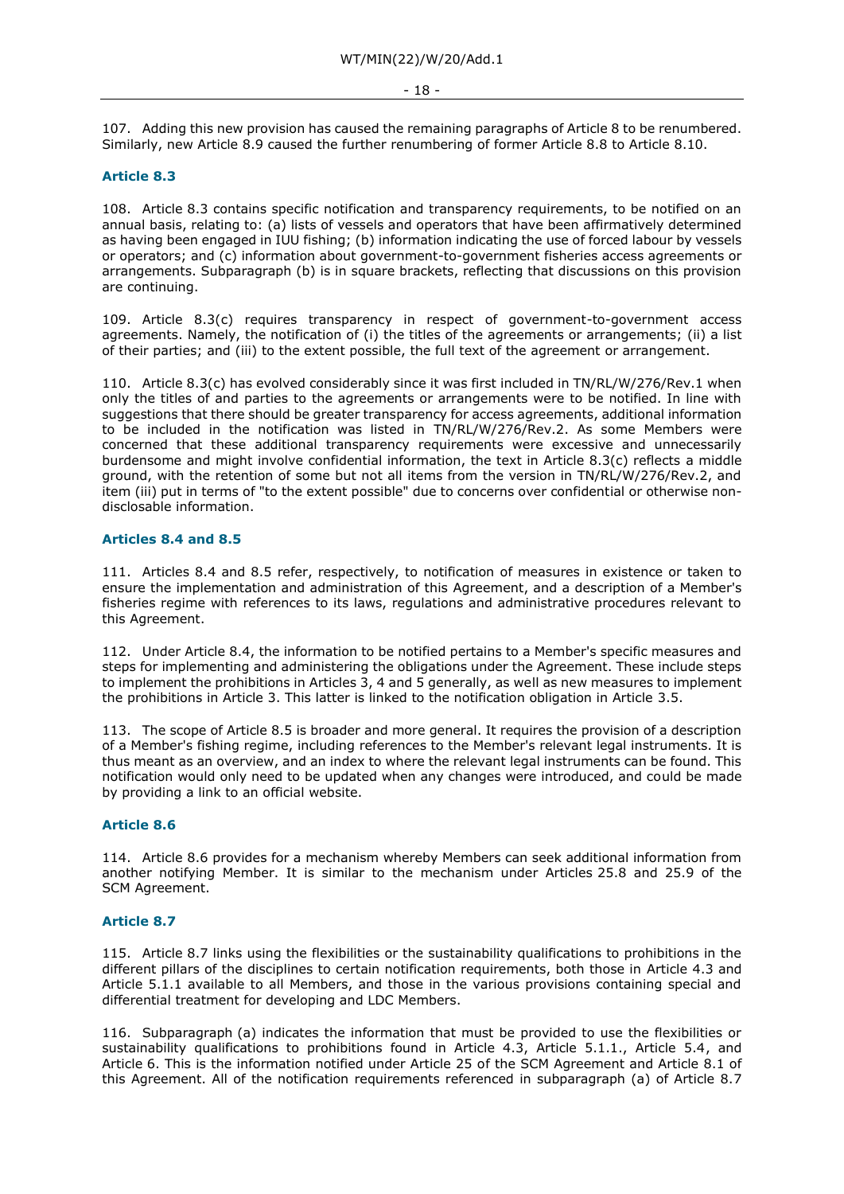#### - 18 -

107. Adding this new provision has caused the remaining paragraphs of Article 8 to be renumbered. Similarly, new Article 8.9 caused the further renumbering of former Article 8.8 to Article 8.10.

# **Article 8.3**

108. Article 8.3 contains specific notification and transparency requirements, to be notified on an annual basis, relating to: (a) lists of vessels and operators that have been affirmatively determined as having been engaged in IUU fishing; (b) information indicating the use of forced labour by vessels or operators; and (c) information about government-to-government fisheries access agreements or arrangements. Subparagraph (b) is in square brackets, reflecting that discussions on this provision are continuing.

109. Article 8.3(c) requires transparency in respect of government-to-government access agreements. Namely, the notification of (i) the titles of the agreements or arrangements; (ii) a list of their parties; and (iii) to the extent possible, the full text of the agreement or arrangement.

110. Article 8.3(c) has evolved considerably since it was first included in TN/RL/W/276/Rev.1 when only the titles of and parties to the agreements or arrangements were to be notified. In line with suggestions that there should be greater transparency for access agreements, additional information to be included in the notification was listed in TN/RL/W/276/Rev.2. As some Members were concerned that these additional transparency requirements were excessive and unnecessarily burdensome and might involve confidential information, the text in Article 8.3(c) reflects a middle ground, with the retention of some but not all items from the version in TN/RL/W/276/Rev.2, and item (iii) put in terms of "to the extent possible" due to concerns over confidential or otherwise nondisclosable information.

# **Articles 8.4 and 8.5**

111. Articles 8.4 and 8.5 refer, respectively, to notification of measures in existence or taken to ensure the implementation and administration of this Agreement, and a description of a Member's fisheries regime with references to its laws, regulations and administrative procedures relevant to this Agreement.

112. Under Article 8.4, the information to be notified pertains to a Member's specific measures and steps for implementing and administering the obligations under the Agreement. These include steps to implement the prohibitions in Articles 3, 4 and 5 generally, as well as new measures to implement the prohibitions in Article 3. This latter is linked to the notification obligation in Article 3.5.

113. The scope of Article 8.5 is broader and more general. It requires the provision of a description of a Member's fishing regime, including references to the Member's relevant legal instruments. It is thus meant as an overview, and an index to where the relevant legal instruments can be found. This notification would only need to be updated when any changes were introduced, and could be made by providing a link to an official website.

# **Article 8.6**

114. Article 8.6 provides for a mechanism whereby Members can seek additional information from another notifying Member. It is similar to the mechanism under Articles 25.8 and 25.9 of the SCM Agreement.

# **Article 8.7**

115. Article 8.7 links using the flexibilities or the sustainability qualifications to prohibitions in the different pillars of the disciplines to certain notification requirements, both those in Article 4.3 and Article 5.1.1 available to all Members, and those in the various provisions containing special and differential treatment for developing and LDC Members.

116. Subparagraph (a) indicates the information that must be provided to use the flexibilities or sustainability qualifications to prohibitions found in Article 4.3, Article 5.1.1., Article 5.4, and Article 6. This is the information notified under Article 25 of the SCM Agreement and Article 8.1 of this Agreement. All of the notification requirements referenced in subparagraph (a) of Article 8.7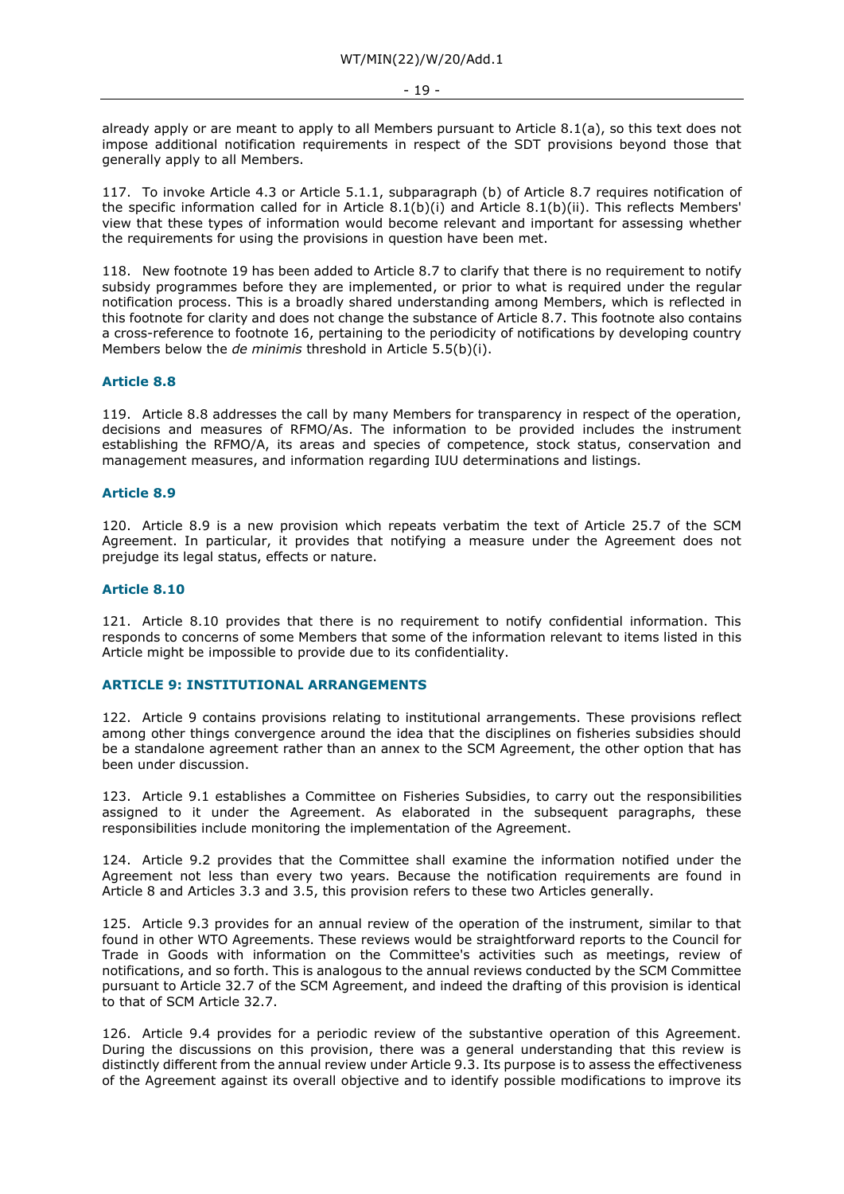already apply or are meant to apply to all Members pursuant to Article 8.1(a), so this text does not impose additional notification requirements in respect of the SDT provisions beyond those that generally apply to all Members.

117. To invoke Article 4.3 or Article 5.1.1, subparagraph (b) of Article 8.7 requires notification of the specific information called for in Article 8.1(b)(i) and Article 8.1(b)(ii). This reflects Members' view that these types of information would become relevant and important for assessing whether the requirements for using the provisions in question have been met.

118. New footnote 19 has been added to Article 8.7 to clarify that there is no requirement to notify subsidy programmes before they are implemented, or prior to what is required under the regular notification process. This is a broadly shared understanding among Members, which is reflected in this footnote for clarity and does not change the substance of Article 8.7. This footnote also contains a cross-reference to footnote 16, pertaining to the periodicity of notifications by developing country Members below the *de minimis* threshold in Article 5.5(b)(i).

# **Article 8.8**

119. Article 8.8 addresses the call by many Members for transparency in respect of the operation, decisions and measures of RFMO/As. The information to be provided includes the instrument establishing the RFMO/A, its areas and species of competence, stock status, conservation and management measures, and information regarding IUU determinations and listings.

#### **Article 8.9**

120. Article 8.9 is a new provision which repeats verbatim the text of Article 25.7 of the SCM Agreement. In particular, it provides that notifying a measure under the Agreement does not prejudge its legal status, effects or nature.

#### **Article 8.10**

121. Article 8.10 provides that there is no requirement to notify confidential information. This responds to concerns of some Members that some of the information relevant to items listed in this Article might be impossible to provide due to its confidentiality.

# **ARTICLE 9: INSTITUTIONAL ARRANGEMENTS**

122. Article 9 contains provisions relating to institutional arrangements. These provisions reflect among other things convergence around the idea that the disciplines on fisheries subsidies should be a standalone agreement rather than an annex to the SCM Agreement, the other option that has been under discussion.

123. Article 9.1 establishes a Committee on Fisheries Subsidies, to carry out the responsibilities assigned to it under the Agreement. As elaborated in the subsequent paragraphs, these responsibilities include monitoring the implementation of the Agreement.

124. Article 9.2 provides that the Committee shall examine the information notified under the Agreement not less than every two years. Because the notification requirements are found in Article 8 and Articles 3.3 and 3.5, this provision refers to these two Articles generally.

125. Article 9.3 provides for an annual review of the operation of the instrument, similar to that found in other WTO Agreements. These reviews would be straightforward reports to the Council for Trade in Goods with information on the Committee's activities such as meetings, review of notifications, and so forth. This is analogous to the annual reviews conducted by the SCM Committee pursuant to Article 32.7 of the SCM Agreement, and indeed the drafting of this provision is identical to that of SCM Article 32.7.

126. Article 9.4 provides for a periodic review of the substantive operation of this Agreement. During the discussions on this provision, there was a general understanding that this review is distinctly different from the annual review under Article 9.3. Its purpose is to assess the effectiveness of the Agreement against its overall objective and to identify possible modifications to improve its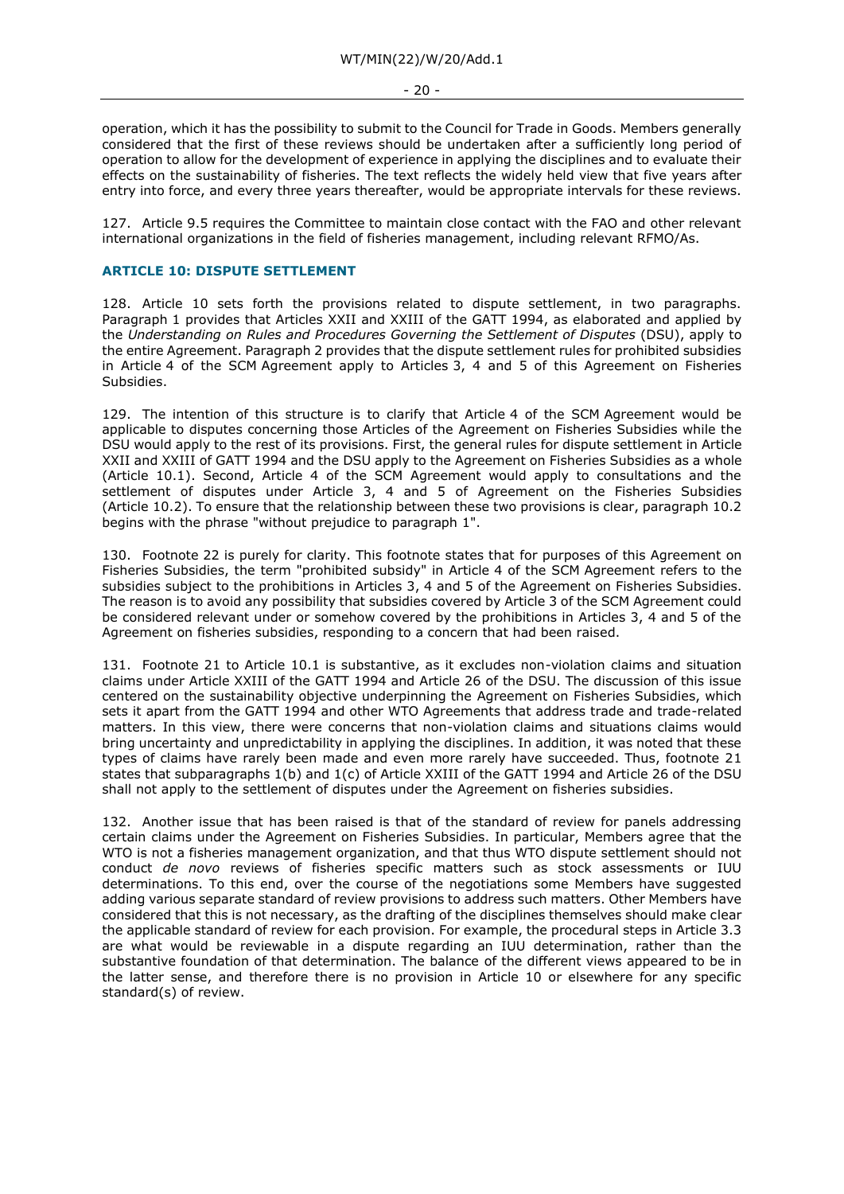- 20 -

operation, which it has the possibility to submit to the Council for Trade in Goods. Members generally considered that the first of these reviews should be undertaken after a sufficiently long period of operation to allow for the development of experience in applying the disciplines and to evaluate their effects on the sustainability of fisheries. The text reflects the widely held view that five years after entry into force, and every three years thereafter, would be appropriate intervals for these reviews.

127. Article 9.5 requires the Committee to maintain close contact with the FAO and other relevant international organizations in the field of fisheries management, including relevant RFMO/As.

### **ARTICLE 10: DISPUTE SETTLEMENT**

128. Article 10 sets forth the provisions related to dispute settlement, in two paragraphs. Paragraph 1 provides that Articles XXII and XXIII of the GATT 1994, as elaborated and applied by the *Understanding on Rules and Procedures Governing the Settlement of Disputes* (DSU), apply to the entire Agreement. Paragraph 2 provides that the dispute settlement rules for prohibited subsidies in Article 4 of the SCM Agreement apply to Articles 3, 4 and 5 of this Agreement on Fisheries Subsidies.

129. The intention of this structure is to clarify that Article 4 of the SCM Agreement would be applicable to disputes concerning those Articles of the Agreement on Fisheries Subsidies while the DSU would apply to the rest of its provisions. First, the general rules for dispute settlement in Article XXII and XXIII of GATT 1994 and the DSU apply to the Agreement on Fisheries Subsidies as a whole (Article 10.1). Second, Article 4 of the SCM Agreement would apply to consultations and the settlement of disputes under Article 3, 4 and 5 of Agreement on the Fisheries Subsidies (Article 10.2). To ensure that the relationship between these two provisions is clear, paragraph 10.2 begins with the phrase "without prejudice to paragraph 1".

130. Footnote 22 is purely for clarity. This footnote states that for purposes of this Agreement on Fisheries Subsidies, the term "prohibited subsidy" in Article 4 of the SCM Agreement refers to the subsidies subject to the prohibitions in Articles 3, 4 and 5 of the Agreement on Fisheries Subsidies. The reason is to avoid any possibility that subsidies covered by Article 3 of the SCM Agreement could be considered relevant under or somehow covered by the prohibitions in Articles 3, 4 and 5 of the Agreement on fisheries subsidies, responding to a concern that had been raised.

131. Footnote 21 to Article 10.1 is substantive, as it excludes non-violation claims and situation claims under Article XXIII of the GATT 1994 and Article 26 of the DSU. The discussion of this issue centered on the sustainability objective underpinning the Agreement on Fisheries Subsidies, which sets it apart from the GATT 1994 and other WTO Agreements that address trade and trade-related matters. In this view, there were concerns that non-violation claims and situations claims would bring uncertainty and unpredictability in applying the disciplines. In addition, it was noted that these types of claims have rarely been made and even more rarely have succeeded. Thus, footnote 21 states that subparagraphs 1(b) and 1(c) of Article XXIII of the GATT 1994 and Article 26 of the DSU shall not apply to the settlement of disputes under the Agreement on fisheries subsidies.

132. Another issue that has been raised is that of the standard of review for panels addressing certain claims under the Agreement on Fisheries Subsidies. In particular, Members agree that the WTO is not a fisheries management organization, and that thus WTO dispute settlement should not conduct *de novo* reviews of fisheries specific matters such as stock assessments or IUU determinations. To this end, over the course of the negotiations some Members have suggested adding various separate standard of review provisions to address such matters. Other Members have considered that this is not necessary, as the drafting of the disciplines themselves should make clear the applicable standard of review for each provision. For example, the procedural steps in Article 3.3 are what would be reviewable in a dispute regarding an IUU determination, rather than the substantive foundation of that determination. The balance of the different views appeared to be in the latter sense, and therefore there is no provision in Article 10 or elsewhere for any specific standard(s) of review.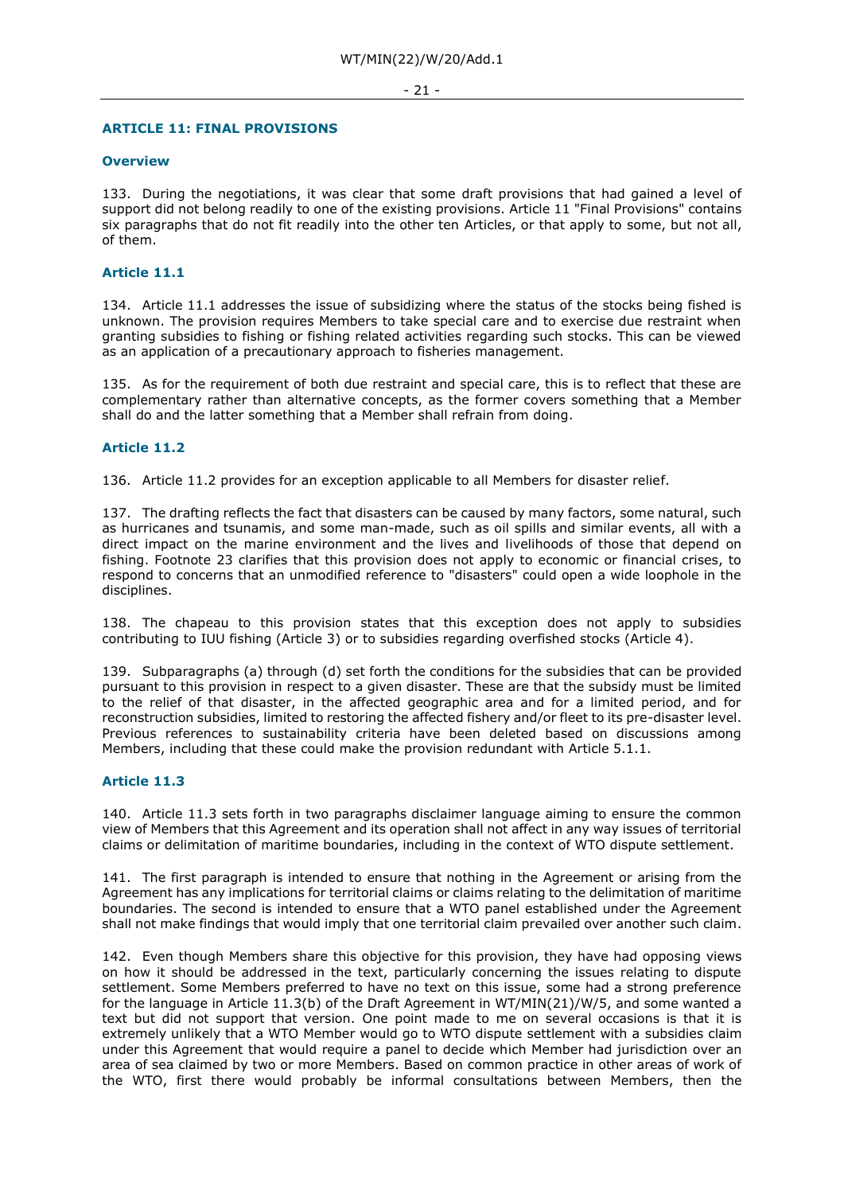#### - 21 -

#### **ARTICLE 11: FINAL PROVISIONS**

#### **Overview**

133. During the negotiations, it was clear that some draft provisions that had gained a level of support did not belong readily to one of the existing provisions. Article 11 "Final Provisions" contains six paragraphs that do not fit readily into the other ten Articles, or that apply to some, but not all, of them.

# **Article 11.1**

134. Article 11.1 addresses the issue of subsidizing where the status of the stocks being fished is unknown. The provision requires Members to take special care and to exercise due restraint when granting subsidies to fishing or fishing related activities regarding such stocks. This can be viewed as an application of a precautionary approach to fisheries management.

135. As for the requirement of both due restraint and special care, this is to reflect that these are complementary rather than alternative concepts, as the former covers something that a Member shall do and the latter something that a Member shall refrain from doing.

#### **Article 11.2**

136. Article 11.2 provides for an exception applicable to all Members for disaster relief.

137. The drafting reflects the fact that disasters can be caused by many factors, some natural, such as hurricanes and tsunamis, and some man-made, such as oil spills and similar events, all with a direct impact on the marine environment and the lives and livelihoods of those that depend on fishing. Footnote 23 clarifies that this provision does not apply to economic or financial crises, to respond to concerns that an unmodified reference to "disasters" could open a wide loophole in the disciplines.

138. The chapeau to this provision states that this exception does not apply to subsidies contributing to IUU fishing (Article 3) or to subsidies regarding overfished stocks (Article 4).

139. Subparagraphs (a) through (d) set forth the conditions for the subsidies that can be provided pursuant to this provision in respect to a given disaster. These are that the subsidy must be limited to the relief of that disaster, in the affected geographic area and for a limited period, and for reconstruction subsidies, limited to restoring the affected fishery and/or fleet to its pre-disaster level. Previous references to sustainability criteria have been deleted based on discussions among Members, including that these could make the provision redundant with Article 5.1.1.

#### **Article 11.3**

140. Article 11.3 sets forth in two paragraphs disclaimer language aiming to ensure the common view of Members that this Agreement and its operation shall not affect in any way issues of territorial claims or delimitation of maritime boundaries, including in the context of WTO dispute settlement.

141. The first paragraph is intended to ensure that nothing in the Agreement or arising from the Agreement has any implications for territorial claims or claims relating to the delimitation of maritime boundaries. The second is intended to ensure that a WTO panel established under the Agreement shall not make findings that would imply that one territorial claim prevailed over another such claim.

142. Even though Members share this objective for this provision, they have had opposing views on how it should be addressed in the text, particularly concerning the issues relating to dispute settlement. Some Members preferred to have no text on this issue, some had a strong preference for the language in Article 11.3(b) of the Draft Agreement in WT/MIN(21)/W/5, and some wanted a text but did not support that version. One point made to me on several occasions is that it is extremely unlikely that a WTO Member would go to WTO dispute settlement with a subsidies claim under this Agreement that would require a panel to decide which Member had jurisdiction over an area of sea claimed by two or more Members. Based on common practice in other areas of work of the WTO, first there would probably be informal consultations between Members, then the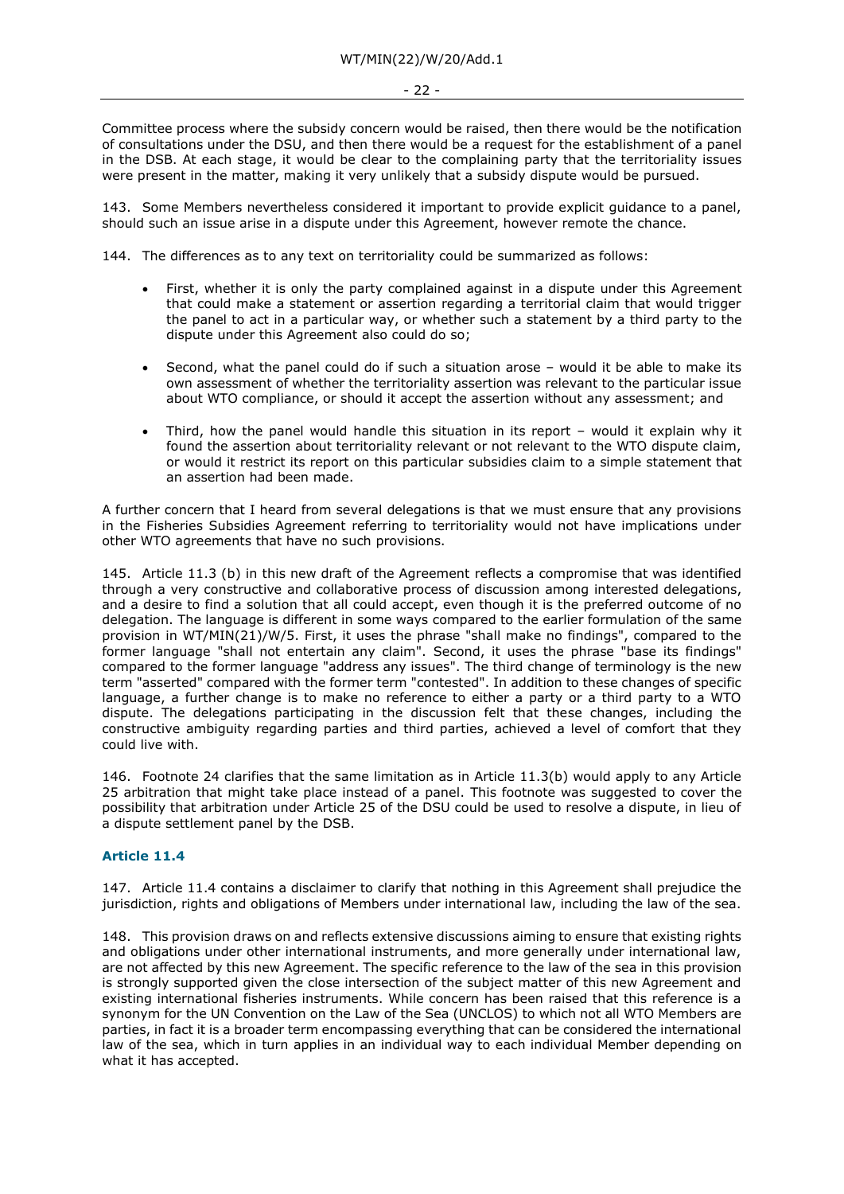Committee process where the subsidy concern would be raised, then there would be the notification of consultations under the DSU, and then there would be a request for the establishment of a panel in the DSB. At each stage, it would be clear to the complaining party that the territoriality issues were present in the matter, making it very unlikely that a subsidy dispute would be pursued.

143. Some Members nevertheless considered it important to provide explicit guidance to a panel, should such an issue arise in a dispute under this Agreement, however remote the chance.

144. The differences as to any text on territoriality could be summarized as follows:

- First, whether it is only the party complained against in a dispute under this Agreement that could make a statement or assertion regarding a territorial claim that would trigger the panel to act in a particular way, or whether such a statement by a third party to the dispute under this Agreement also could do so;
- Second, what the panel could do if such a situation arose would it be able to make its own assessment of whether the territoriality assertion was relevant to the particular issue about WTO compliance, or should it accept the assertion without any assessment; and
- Third, how the panel would handle this situation in its report would it explain why it found the assertion about territoriality relevant or not relevant to the WTO dispute claim, or would it restrict its report on this particular subsidies claim to a simple statement that an assertion had been made.

A further concern that I heard from several delegations is that we must ensure that any provisions in the Fisheries Subsidies Agreement referring to territoriality would not have implications under other WTO agreements that have no such provisions.

145. Article 11.3 (b) in this new draft of the Agreement reflects a compromise that was identified through a very constructive and collaborative process of discussion among interested delegations, and a desire to find a solution that all could accept, even though it is the preferred outcome of no delegation. The language is different in some ways compared to the earlier formulation of the same provision in WT/MIN(21)/W/5. First, it uses the phrase "shall make no findings", compared to the former language "shall not entertain any claim". Second, it uses the phrase "base its findings" compared to the former language "address any issues". The third change of terminology is the new term "asserted" compared with the former term "contested". In addition to these changes of specific language, a further change is to make no reference to either a party or a third party to a WTO dispute. The delegations participating in the discussion felt that these changes, including the constructive ambiguity regarding parties and third parties, achieved a level of comfort that they could live with.

146. Footnote 24 clarifies that the same limitation as in Article 11.3(b) would apply to any Article 25 arbitration that might take place instead of a panel. This footnote was suggested to cover the possibility that arbitration under Article 25 of the DSU could be used to resolve a dispute, in lieu of a dispute settlement panel by the DSB.

# **Article 11.4**

147. Article 11.4 contains a disclaimer to clarify that nothing in this Agreement shall prejudice the jurisdiction, rights and obligations of Members under international law, including the law of the sea.

148. This provision draws on and reflects extensive discussions aiming to ensure that existing rights and obligations under other international instruments, and more generally under international law, are not affected by this new Agreement. The specific reference to the law of the sea in this provision is strongly supported given the close intersection of the subject matter of this new Agreement and existing international fisheries instruments. While concern has been raised that this reference is a synonym for the UN Convention on the Law of the Sea (UNCLOS) to which not all WTO Members are parties, in fact it is a broader term encompassing everything that can be considered the international law of the sea, which in turn applies in an individual way to each individual Member depending on what it has accepted.